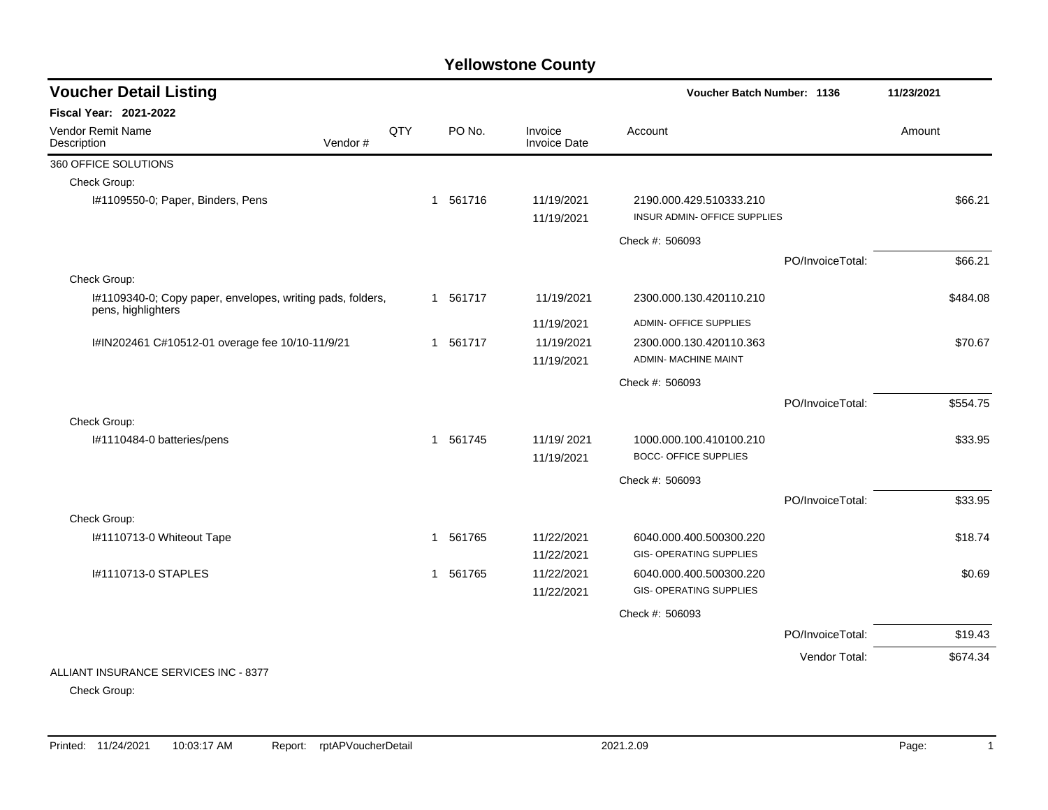| <b>Voucher Detail Listing</b>                              |         |     |              |          |                                | <b>Voucher Batch Number: 1136</b> |                  | 11/23/2021 |
|------------------------------------------------------------|---------|-----|--------------|----------|--------------------------------|-----------------------------------|------------------|------------|
| <b>Fiscal Year: 2021-2022</b>                              |         |     |              |          |                                |                                   |                  |            |
| Vendor Remit Name<br>Description                           | Vendor# | QTY |              | PO No.   | Invoice<br><b>Invoice Date</b> | Account                           |                  | Amount     |
| 360 OFFICE SOLUTIONS                                       |         |     |              |          |                                |                                   |                  |            |
| Check Group:                                               |         |     |              |          |                                |                                   |                  |            |
| I#1109550-0; Paper, Binders, Pens                          |         |     |              | 1 561716 | 11/19/2021                     | 2190.000.429.510333.210           |                  | \$66.21    |
|                                                            |         |     |              |          | 11/19/2021                     | INSUR ADMIN- OFFICE SUPPLIES      |                  |            |
|                                                            |         |     |              |          |                                | Check #: 506093                   |                  |            |
|                                                            |         |     |              |          |                                |                                   | PO/InvoiceTotal: | \$66.21    |
| Check Group:                                               |         |     |              |          |                                |                                   |                  |            |
| I#1109340-0; Copy paper, envelopes, writing pads, folders, |         |     |              | 1 561717 | 11/19/2021                     | 2300.000.130.420110.210           |                  | \$484.08   |
| pens, highlighters                                         |         |     |              |          | 11/19/2021                     | <b>ADMIN- OFFICE SUPPLIES</b>     |                  |            |
| I#IN202461 C#10512-01 overage fee 10/10-11/9/21            |         |     |              | 1 561717 | 11/19/2021                     | 2300.000.130.420110.363           |                  | \$70.67    |
|                                                            |         |     |              |          | 11/19/2021                     | <b>ADMIN- MACHINE MAINT</b>       |                  |            |
|                                                            |         |     |              |          |                                | Check #: 506093                   |                  |            |
|                                                            |         |     |              |          |                                |                                   | PO/InvoiceTotal: | \$554.75   |
| Check Group:                                               |         |     |              |          |                                |                                   |                  |            |
| I#1110484-0 batteries/pens                                 |         |     |              | 1 561745 | 11/19/2021                     | 1000.000.100.410100.210           |                  | \$33.95    |
|                                                            |         |     |              |          | 11/19/2021                     | <b>BOCC- OFFICE SUPPLIES</b>      |                  |            |
|                                                            |         |     |              |          |                                | Check #: 506093                   |                  |            |
|                                                            |         |     |              |          |                                |                                   | PO/InvoiceTotal: | \$33.95    |
| Check Group:                                               |         |     |              |          |                                |                                   |                  |            |
| I#1110713-0 Whiteout Tape                                  |         |     | $\mathbf{1}$ | 561765   | 11/22/2021                     | 6040.000.400.500300.220           |                  | \$18.74    |
|                                                            |         |     |              |          | 11/22/2021                     | <b>GIS- OPERATING SUPPLIES</b>    |                  |            |
| I#1110713-0 STAPLES                                        |         |     |              | 1 561765 | 11/22/2021                     | 6040.000.400.500300.220           |                  | \$0.69     |
|                                                            |         |     |              |          | 11/22/2021                     | <b>GIS- OPERATING SUPPLIES</b>    |                  |            |
|                                                            |         |     |              |          |                                | Check #: 506093                   |                  |            |
|                                                            |         |     |              |          |                                |                                   | PO/InvoiceTotal: | \$19.43    |
|                                                            |         |     |              |          |                                |                                   | Vendor Total:    | \$674.34   |
| ALLIANT INSURANCE SERVICES INC - 8377                      |         |     |              |          |                                |                                   |                  |            |

Check Group: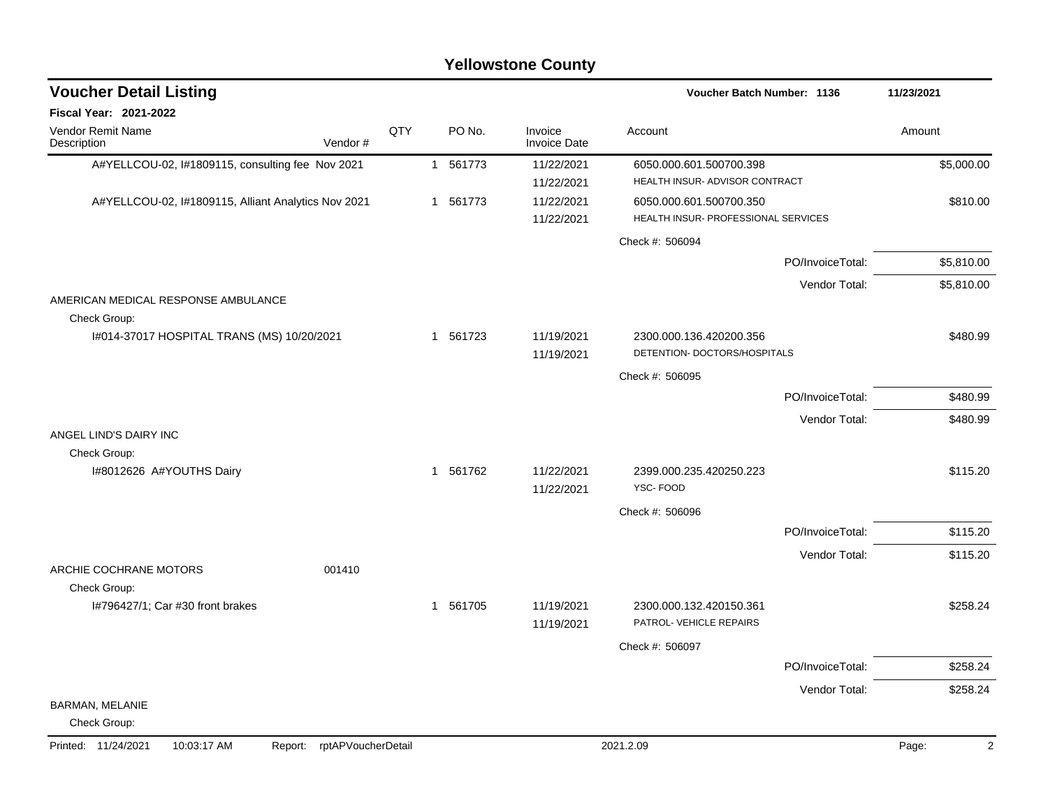|                                                     |                            |     |             | <b>Yellowstone County</b>      |                                                                |                  |                         |
|-----------------------------------------------------|----------------------------|-----|-------------|--------------------------------|----------------------------------------------------------------|------------------|-------------------------|
| <b>Voucher Detail Listing</b>                       |                            |     |             |                                | Voucher Batch Number: 1136                                     |                  | 11/23/2021              |
| <b>Fiscal Year: 2021-2022</b>                       |                            |     |             |                                |                                                                |                  |                         |
| Vendor Remit Name<br>Description                    | Vendor#                    | QTY | PO No.      | Invoice<br><b>Invoice Date</b> | Account                                                        |                  | Amount                  |
| A#YELLCOU-02, I#1809115, consulting fee Nov 2021    |                            |     | 1 561773    | 11/22/2021<br>11/22/2021       | 6050.000.601.500700.398<br>HEALTH INSUR- ADVISOR CONTRACT      |                  | \$5,000.00              |
| A#YELLCOU-02, I#1809115, Alliant Analytics Nov 2021 |                            |     | 1 561773    | 11/22/2021<br>11/22/2021       | 6050.000.601.500700.350<br>HEALTH INSUR- PROFESSIONAL SERVICES |                  | \$810.00                |
|                                                     |                            |     |             |                                | Check #: 506094                                                |                  |                         |
|                                                     |                            |     |             |                                |                                                                | PO/InvoiceTotal: | \$5,810.00              |
|                                                     |                            |     |             |                                |                                                                | Vendor Total:    | \$5,810.00              |
| AMERICAN MEDICAL RESPONSE AMBULANCE<br>Check Group: |                            |     |             |                                |                                                                |                  |                         |
| I#014-37017 HOSPITAL TRANS (MS) 10/20/2021          |                            |     | 1 561723    | 11/19/2021                     | 2300.000.136.420200.356                                        |                  | \$480.99                |
|                                                     |                            |     |             | 11/19/2021                     | DETENTION- DOCTORS/HOSPITALS                                   |                  |                         |
|                                                     |                            |     |             |                                | Check #: 506095                                                |                  |                         |
|                                                     |                            |     |             |                                |                                                                | PO/InvoiceTotal: | \$480.99                |
| ANGEL LIND'S DAIRY INC                              |                            |     |             |                                |                                                                | Vendor Total:    | \$480.99                |
| Check Group:                                        |                            |     |             |                                |                                                                |                  |                         |
| I#8012626 A#YOUTHS Dairy                            |                            |     | 561762<br>1 | 11/22/2021<br>11/22/2021       | 2399.000.235.420250.223<br>YSC-FOOD                            |                  | \$115.20                |
|                                                     |                            |     |             |                                | Check #: 506096                                                |                  |                         |
|                                                     |                            |     |             |                                |                                                                | PO/InvoiceTotal: | \$115.20                |
| ARCHIE COCHRANE MOTORS                              | 001410                     |     |             |                                |                                                                | Vendor Total:    | \$115.20                |
| Check Group:                                        |                            |     |             |                                |                                                                |                  |                         |
| I#796427/1; Car #30 front brakes                    |                            |     | 1 561705    | 11/19/2021<br>11/19/2021       | 2300.000.132.420150.361<br>PATROL- VEHICLE REPAIRS             |                  | \$258.24                |
|                                                     |                            |     |             |                                | Check #: 506097                                                |                  |                         |
|                                                     |                            |     |             |                                |                                                                | PO/InvoiceTotal: | \$258.24                |
|                                                     |                            |     |             |                                |                                                                | Vendor Total:    | \$258.24                |
| BARMAN, MELANIE<br>Check Group:                     |                            |     |             |                                |                                                                |                  |                         |
| Printed: 11/24/2021<br>10:03:17 AM                  | Report: rptAPVoucherDetail |     |             |                                | 2021.2.09                                                      |                  | Page:<br>$\overline{2}$ |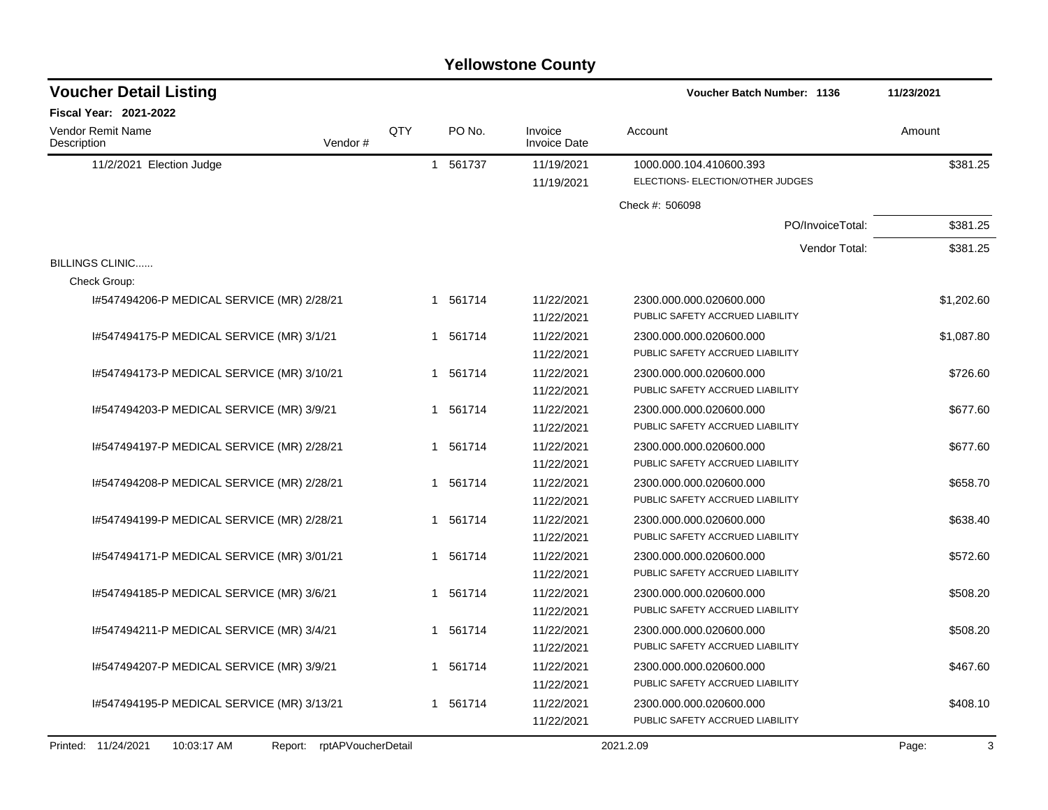|                                            |                            |     |          | <b>Yellowstone County</b>      |                                   |            |
|--------------------------------------------|----------------------------|-----|----------|--------------------------------|-----------------------------------|------------|
| <b>Voucher Detail Listing</b>              |                            |     |          |                                | <b>Voucher Batch Number: 1136</b> | 11/23/2021 |
| <b>Fiscal Year: 2021-2022</b>              |                            |     |          |                                |                                   |            |
| <b>Vendor Remit Name</b><br>Description    | Vendor#                    | QTY | PO No.   | Invoice<br><b>Invoice Date</b> | Account                           | Amount     |
| 11/2/2021 Election Judge                   |                            |     | 1 561737 | 11/19/2021                     | 1000.000.104.410600.393           | \$381.25   |
|                                            |                            |     |          | 11/19/2021                     | ELECTIONS- ELECTION/OTHER JUDGES  |            |
|                                            |                            |     |          |                                | Check #: 506098                   |            |
|                                            |                            |     |          |                                | PO/InvoiceTotal:                  | \$381.25   |
|                                            |                            |     |          |                                | Vendor Total:                     | \$381.25   |
| BILLINGS CLINIC                            |                            |     |          |                                |                                   |            |
| Check Group:                               |                            |     |          |                                |                                   |            |
| 1#547494206-P MEDICAL SERVICE (MR) 2/28/21 |                            |     | 1 561714 | 11/22/2021                     | 2300.000.000.020600.000           | \$1,202.60 |
|                                            |                            |     |          | 11/22/2021                     | PUBLIC SAFETY ACCRUED LIABILITY   |            |
| 1#547494175-P MEDICAL SERVICE (MR) 3/1/21  |                            |     | 1 561714 | 11/22/2021                     | 2300.000.000.020600.000           | \$1,087.80 |
|                                            |                            |     |          | 11/22/2021                     | PUBLIC SAFETY ACCRUED LIABILITY   |            |
| 1#547494173-P MEDICAL SERVICE (MR) 3/10/21 |                            | 1   | 561714   | 11/22/2021                     | 2300.000.000.020600.000           | \$726.60   |
|                                            |                            |     |          | 11/22/2021                     | PUBLIC SAFETY ACCRUED LIABILITY   |            |
| 1#547494203-P MEDICAL SERVICE (MR) 3/9/21  |                            |     | 1 561714 | 11/22/2021                     | 2300.000.000.020600.000           | \$677.60   |
|                                            |                            |     |          | 11/22/2021                     | PUBLIC SAFETY ACCRUED LIABILITY   |            |
| 1#547494197-P MEDICAL SERVICE (MR) 2/28/21 |                            |     | 1 561714 | 11/22/2021                     | 2300.000.000.020600.000           | \$677.60   |
|                                            |                            |     |          | 11/22/2021                     | PUBLIC SAFETY ACCRUED LIABILITY   |            |
| 1#547494208-P MEDICAL SERVICE (MR) 2/28/21 |                            | 1   | 561714   | 11/22/2021                     | 2300.000.000.020600.000           | \$658.70   |
|                                            |                            |     |          | 11/22/2021                     | PUBLIC SAFETY ACCRUED LIABILITY   |            |
| I#547494199-P MEDICAL SERVICE (MR) 2/28/21 |                            |     | 1 561714 | 11/22/2021                     | 2300.000.000.020600.000           | \$638.40   |
|                                            |                            |     |          | 11/22/2021                     | PUBLIC SAFETY ACCRUED LIABILITY   |            |
| I#547494171-P MEDICAL SERVICE (MR) 3/01/21 |                            | 1   | 561714   | 11/22/2021                     | 2300.000.000.020600.000           | \$572.60   |
|                                            |                            |     |          | 11/22/2021                     | PUBLIC SAFETY ACCRUED LIABILITY   |            |
| 1#547494185-P MEDICAL SERVICE (MR) 3/6/21  |                            | 1   | 561714   | 11/22/2021                     | 2300.000.000.020600.000           | \$508.20   |
|                                            |                            |     |          | 11/22/2021                     | PUBLIC SAFETY ACCRUED LIABILITY   |            |
| 1#547494211-P MEDICAL SERVICE (MR) 3/4/21  |                            |     | 1 561714 | 11/22/2021                     | 2300.000.000.020600.000           | \$508.20   |
|                                            |                            |     |          | 11/22/2021                     | PUBLIC SAFETY ACCRUED LIABILITY   |            |
| 1#547494207-P MEDICAL SERVICE (MR) 3/9/21  |                            |     | 1 561714 | 11/22/2021                     | 2300.000.000.020600.000           | \$467.60   |
|                                            |                            |     |          | 11/22/2021                     | PUBLIC SAFETY ACCRUED LIABILITY   |            |
| I#547494195-P MEDICAL SERVICE (MR) 3/13/21 |                            |     | 1 561714 | 11/22/2021                     | 2300.000.000.020600.000           | \$408.10   |
|                                            |                            |     |          | 11/22/2021                     | PUBLIC SAFETY ACCRUED LIABILITY   |            |
| Printed: 11/24/2021<br>10:03:17 AM         | Report: rptAPVoucherDetail |     |          |                                | 2021.2.09                         | Page:<br>3 |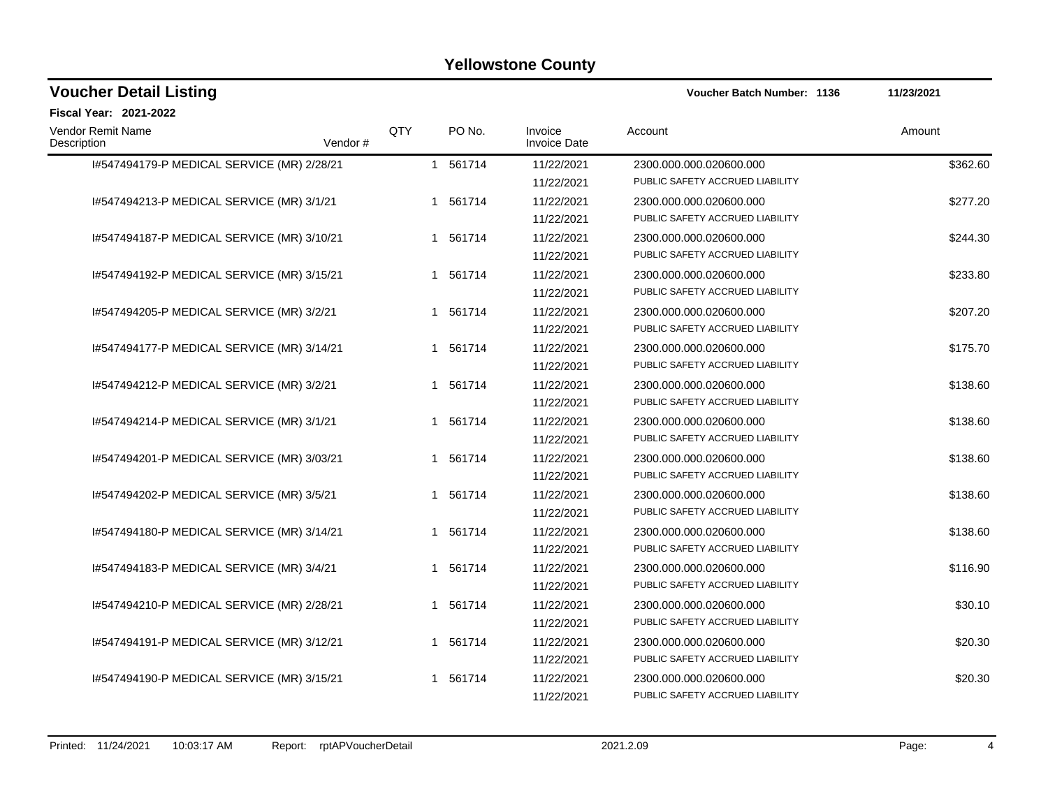| <b>Voucher Detail Listing</b>              |                |          |                                | Voucher Batch Number: 1136                                 | 11/23/2021 |
|--------------------------------------------|----------------|----------|--------------------------------|------------------------------------------------------------|------------|
| <b>Fiscal Year: 2021-2022</b>              |                |          |                                |                                                            |            |
| Vendor Remit Name<br>Description           | QTY<br>Vendor# | PO No.   | Invoice<br><b>Invoice Date</b> | Account                                                    | Amount     |
| I#547494179-P MEDICAL SERVICE (MR) 2/28/21 |                | 1 561714 | 11/22/2021<br>11/22/2021       | 2300.000.000.020600.000<br>PUBLIC SAFETY ACCRUED LIABILITY | \$362.60   |
| 1#547494213-P MEDICAL SERVICE (MR) 3/1/21  |                | 1 561714 | 11/22/2021<br>11/22/2021       | 2300.000.000.020600.000<br>PUBLIC SAFETY ACCRUED LIABILITY | \$277.20   |
| 1#547494187-P MEDICAL SERVICE (MR) 3/10/21 |                | 1 561714 | 11/22/2021<br>11/22/2021       | 2300.000.000.020600.000<br>PUBLIC SAFETY ACCRUED LIABILITY | \$244.30   |
| 1#547494192-P MEDICAL SERVICE (MR) 3/15/21 |                | 1 561714 | 11/22/2021<br>11/22/2021       | 2300.000.000.020600.000<br>PUBLIC SAFETY ACCRUED LIABILITY | \$233.80   |
| 1#547494205-P MEDICAL SERVICE (MR) 3/2/21  |                | 1 561714 | 11/22/2021<br>11/22/2021       | 2300.000.000.020600.000<br>PUBLIC SAFETY ACCRUED LIABILITY | \$207.20   |
| 1#547494177-P MEDICAL SERVICE (MR) 3/14/21 |                | 1 561714 | 11/22/2021<br>11/22/2021       | 2300.000.000.020600.000<br>PUBLIC SAFETY ACCRUED LIABILITY | \$175.70   |
| 1#547494212-P MEDICAL SERVICE (MR) 3/2/21  |                | 1 561714 | 11/22/2021<br>11/22/2021       | 2300.000.000.020600.000<br>PUBLIC SAFETY ACCRUED LIABILITY | \$138.60   |
| 1#547494214-P MEDICAL SERVICE (MR) 3/1/21  |                | 1 561714 | 11/22/2021<br>11/22/2021       | 2300.000.000.020600.000<br>PUBLIC SAFETY ACCRUED LIABILITY | \$138.60   |
| 1#547494201-P MEDICAL SERVICE (MR) 3/03/21 |                | 1 561714 | 11/22/2021<br>11/22/2021       | 2300.000.000.020600.000<br>PUBLIC SAFETY ACCRUED LIABILITY | \$138.60   |
| 1#547494202-P MEDICAL SERVICE (MR) 3/5/21  |                | 1 561714 | 11/22/2021<br>11/22/2021       | 2300.000.000.020600.000<br>PUBLIC SAFETY ACCRUED LIABILITY | \$138.60   |
| 1#547494180-P MEDICAL SERVICE (MR) 3/14/21 |                | 1 561714 | 11/22/2021<br>11/22/2021       | 2300.000.000.020600.000<br>PUBLIC SAFETY ACCRUED LIABILITY | \$138.60   |
| 1#547494183-P MEDICAL SERVICE (MR) 3/4/21  |                | 1 561714 | 11/22/2021<br>11/22/2021       | 2300.000.000.020600.000<br>PUBLIC SAFETY ACCRUED LIABILITY | \$116.90   |
| 1#547494210-P MEDICAL SERVICE (MR) 2/28/21 |                | 1 561714 | 11/22/2021<br>11/22/2021       | 2300.000.000.020600.000<br>PUBLIC SAFETY ACCRUED LIABILITY | \$30.10    |
| 1#547494191-P MEDICAL SERVICE (MR) 3/12/21 |                | 1 561714 | 11/22/2021<br>11/22/2021       | 2300.000.000.020600.000<br>PUBLIC SAFETY ACCRUED LIABILITY | \$20.30    |
| I#547494190-P MEDICAL SERVICE (MR) 3/15/21 |                | 1 561714 | 11/22/2021<br>11/22/2021       | 2300.000.000.020600.000<br>PUBLIC SAFETY ACCRUED LIABILITY | \$20.30    |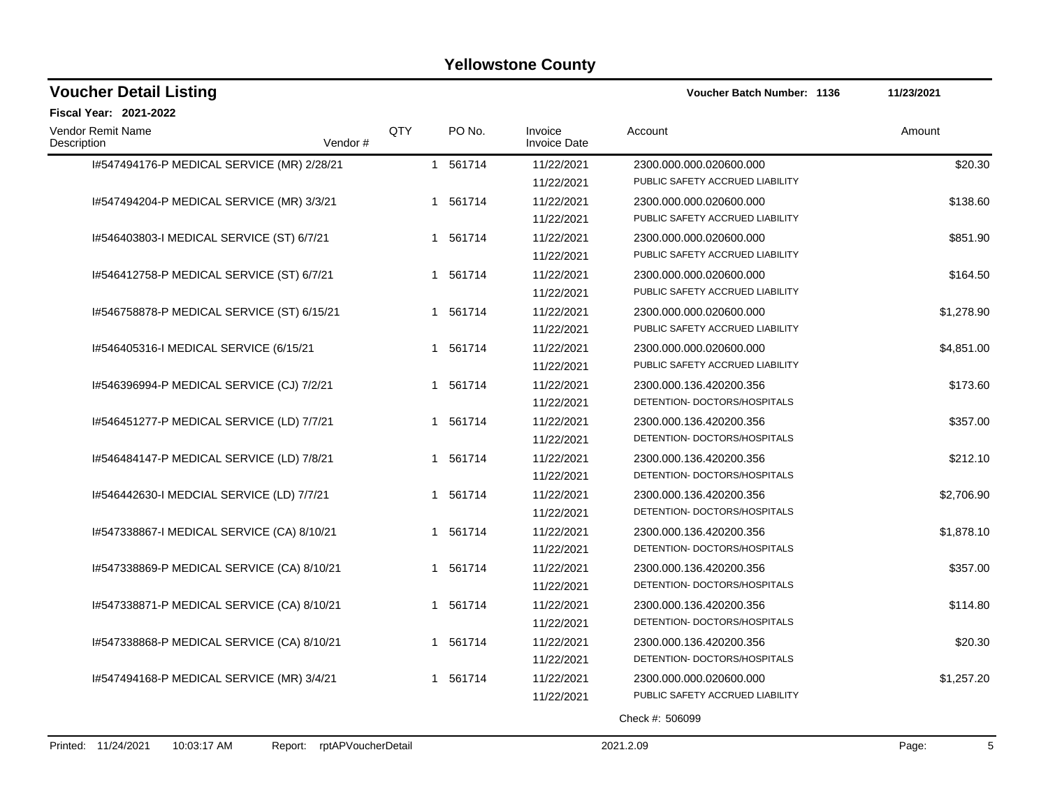| <b>Voucher Detail Listing</b>                                       |              |        |                                | <b>Voucher Batch Number: 1136</b> | 11/23/2021 |
|---------------------------------------------------------------------|--------------|--------|--------------------------------|-----------------------------------|------------|
| <b>Fiscal Year: 2021-2022</b>                                       |              |        |                                |                                   |            |
| QTY<br>Vendor Remit Name<br>Description<br>Vendor#                  |              | PO No. | Invoice<br><b>Invoice Date</b> | Account                           | Amount     |
| 1#547494176-P MEDICAL SERVICE (MR) 2/28/21                          | $\mathbf{1}$ | 561714 | 11/22/2021                     | 2300.000.000.020600.000           | \$20.30    |
|                                                                     |              |        | 11/22/2021                     | PUBLIC SAFETY ACCRUED LIABILITY   |            |
| 1#547494204-P MEDICAL SERVICE (MR) 3/3/21                           | 1            | 561714 | 11/22/2021                     | 2300.000.000.020600.000           | \$138.60   |
|                                                                     |              |        | 11/22/2021                     | PUBLIC SAFETY ACCRUED LIABILITY   |            |
| 1#546403803-1 MEDICAL SERVICE (ST) 6/7/21                           | 1            | 561714 | 11/22/2021                     | 2300.000.000.020600.000           | \$851.90   |
|                                                                     |              |        | 11/22/2021                     | PUBLIC SAFETY ACCRUED LIABILITY   |            |
| 1#546412758-P MEDICAL SERVICE (ST) 6/7/21                           | $\mathbf{1}$ | 561714 | 11/22/2021                     | 2300.000.000.020600.000           | \$164.50   |
|                                                                     |              |        | 11/22/2021                     | PUBLIC SAFETY ACCRUED LIABILITY   |            |
| 1#546758878-P MEDICAL SERVICE (ST) 6/15/21                          | $\mathbf{1}$ | 561714 | 11/22/2021                     | 2300.000.000.020600.000           | \$1,278.90 |
|                                                                     |              |        | 11/22/2021                     | PUBLIC SAFETY ACCRUED LIABILITY   |            |
| 1#546405316-1 MEDICAL SERVICE (6/15/21                              | $\mathbf 1$  | 561714 | 11/22/2021                     | 2300.000.000.020600.000           | \$4,851.00 |
|                                                                     |              |        | 11/22/2021                     | PUBLIC SAFETY ACCRUED LIABILITY   |            |
| I#546396994-P MEDICAL SERVICE (CJ) 7/2/21                           | $\mathbf 1$  | 561714 | 11/22/2021                     | 2300.000.136.420200.356           | \$173.60   |
|                                                                     |              |        | 11/22/2021                     | DETENTION- DOCTORS/HOSPITALS      |            |
| I#546451277-P MEDICAL SERVICE (LD) 7/7/21                           | -1           | 561714 | 11/22/2021                     | 2300.000.136.420200.356           | \$357.00   |
|                                                                     |              |        | 11/22/2021                     | DETENTION- DOCTORS/HOSPITALS      |            |
| 1#546484147-P MEDICAL SERVICE (LD) 7/8/21                           | 1            | 561714 | 11/22/2021                     | 2300.000.136.420200.356           | \$212.10   |
|                                                                     |              |        | 11/22/2021                     | DETENTION- DOCTORS/HOSPITALS      |            |
| 1#546442630-1 MEDCIAL SERVICE (LD) 7/7/21                           |              | 561714 | 11/22/2021                     | 2300.000.136.420200.356           | \$2,706.90 |
|                                                                     |              |        | 11/22/2021                     | DETENTION- DOCTORS/HOSPITALS      |            |
| 1#547338867-1 MEDICAL SERVICE (CA) 8/10/21                          | $\mathbf 1$  | 561714 | 11/22/2021                     | 2300.000.136.420200.356           | \$1,878.10 |
|                                                                     |              |        | 11/22/2021                     | DETENTION- DOCTORS/HOSPITALS      |            |
| I#547338869-P MEDICAL SERVICE (CA) 8/10/21                          |              | 561714 | 11/22/2021                     | 2300.000.136.420200.356           | \$357.00   |
|                                                                     |              |        | 11/22/2021                     | DETENTION- DOCTORS/HOSPITALS      |            |
| I#547338871-P MEDICAL SERVICE (CA) 8/10/21                          | 1            | 561714 | 11/22/2021                     | 2300.000.136.420200.356           | \$114.80   |
|                                                                     |              |        | 11/22/2021                     | DETENTION- DOCTORS/HOSPITALS      |            |
| 1#547338868-P MEDICAL SERVICE (CA) 8/10/21                          | 1            | 561714 | 11/22/2021                     | 2300.000.136.420200.356           | \$20.30    |
|                                                                     |              |        | 11/22/2021                     | DETENTION- DOCTORS/HOSPITALS      |            |
| 1#547494168-P MEDICAL SERVICE (MR) 3/4/21                           | $\mathbf{1}$ | 561714 | 11/22/2021                     | 2300.000.000.020600.000           | \$1,257.20 |
|                                                                     |              |        | 11/22/2021                     | PUBLIC SAFETY ACCRUED LIABILITY   |            |
|                                                                     |              |        |                                | Check #: 506099                   |            |
| Printed: 11/24/2021<br>10:03:17 AM<br>rptAPVoucherDetail<br>Report: |              |        |                                | 2021.2.09                         | Page:<br>5 |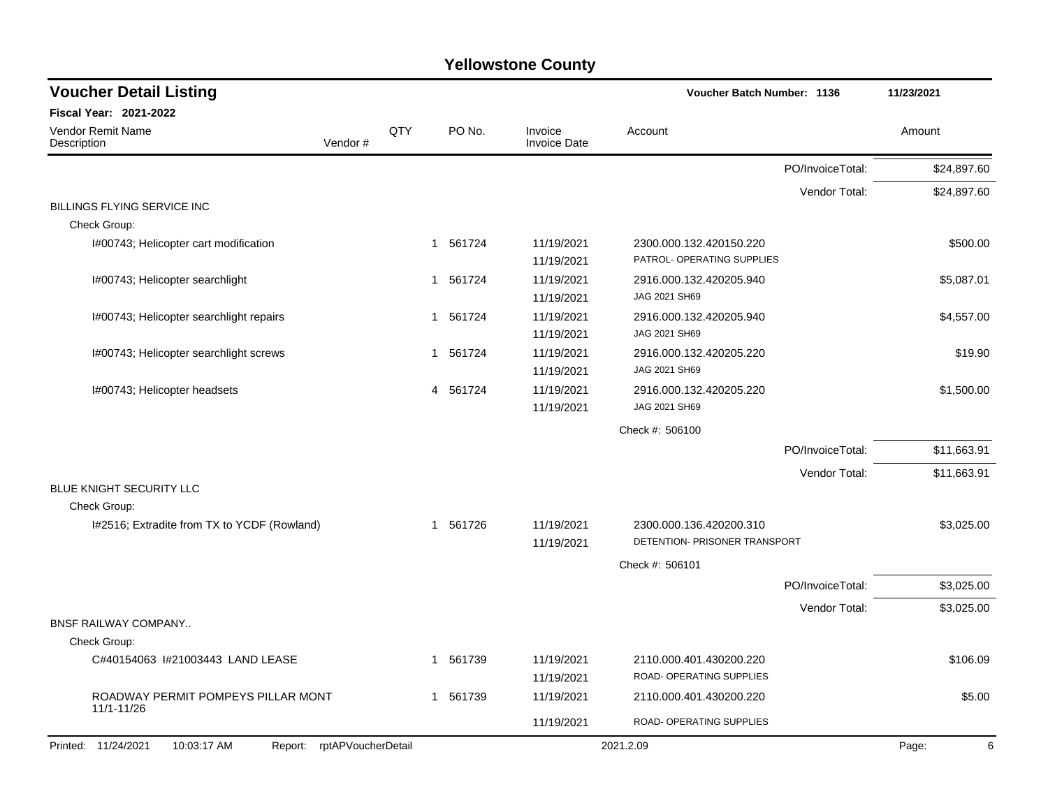| <b>Voucher Detail Listing</b>                                       |              |          |                                | Voucher Batch Number: 1136                               |                  | 11/23/2021  |  |
|---------------------------------------------------------------------|--------------|----------|--------------------------------|----------------------------------------------------------|------------------|-------------|--|
| <b>Fiscal Year: 2021-2022</b>                                       |              |          |                                |                                                          |                  |             |  |
| <b>Vendor Remit Name</b><br>Vendor#<br>Description                  | QTY          | PO No.   | Invoice<br><b>Invoice Date</b> | Account                                                  |                  | Amount      |  |
|                                                                     |              |          |                                |                                                          | PO/InvoiceTotal: | \$24,897.60 |  |
|                                                                     |              |          |                                |                                                          | Vendor Total:    | \$24,897.60 |  |
| <b>BILLINGS FLYING SERVICE INC</b><br>Check Group:                  |              |          |                                |                                                          |                  |             |  |
| I#00743; Helicopter cart modification                               |              | 1 561724 | 11/19/2021<br>11/19/2021       | 2300.000.132.420150.220<br>PATROL- OPERATING SUPPLIES    |                  | \$500.00    |  |
| I#00743; Helicopter searchlight                                     |              | 1 561724 | 11/19/2021<br>11/19/2021       | 2916.000.132.420205.940<br>JAG 2021 SH69                 |                  | \$5,087.01  |  |
| I#00743; Helicopter searchlight repairs                             |              | 1 561724 | 11/19/2021<br>11/19/2021       | 2916.000.132.420205.940<br>JAG 2021 SH69                 |                  | \$4,557.00  |  |
| I#00743; Helicopter searchlight screws                              | $\mathbf{1}$ | 561724   | 11/19/2021<br>11/19/2021       | 2916.000.132.420205.220<br>JAG 2021 SH69                 |                  | \$19.90     |  |
| I#00743; Helicopter headsets                                        | 4            | 561724   | 11/19/2021<br>11/19/2021       | 2916.000.132.420205.220<br>JAG 2021 SH69                 |                  | \$1,500.00  |  |
|                                                                     |              |          |                                | Check #: 506100                                          |                  |             |  |
|                                                                     |              |          |                                |                                                          | PO/InvoiceTotal: | \$11,663.91 |  |
|                                                                     |              |          |                                |                                                          | Vendor Total:    | \$11,663.91 |  |
| BLUE KNIGHT SECURITY LLC                                            |              |          |                                |                                                          |                  |             |  |
| Check Group:                                                        |              |          |                                |                                                          |                  |             |  |
| I#2516; Extradite from TX to YCDF (Rowland)                         |              | 1 561726 | 11/19/2021<br>11/19/2021       | 2300.000.136.420200.310<br>DETENTION- PRISONER TRANSPORT |                  | \$3,025.00  |  |
|                                                                     |              |          |                                | Check #: 506101                                          |                  |             |  |
|                                                                     |              |          |                                |                                                          | PO/InvoiceTotal: | \$3,025.00  |  |
|                                                                     |              |          |                                |                                                          | Vendor Total:    | \$3,025.00  |  |
| <b>BNSF RAILWAY COMPANY</b>                                         |              |          |                                |                                                          |                  |             |  |
| Check Group:                                                        |              |          |                                |                                                          |                  |             |  |
| C#40154063 I#21003443 LAND LEASE                                    | 1            | 561739   | 11/19/2021<br>11/19/2021       | 2110.000.401.430200.220<br>ROAD- OPERATING SUPPLIES      |                  | \$106.09    |  |
| ROADWAY PERMIT POMPEYS PILLAR MONT<br>11/1-11/26                    |              | 1 561739 | 11/19/2021                     | 2110.000.401.430200.220                                  |                  | \$5.00      |  |
|                                                                     |              |          | 11/19/2021                     | ROAD- OPERATING SUPPLIES                                 |                  |             |  |
| Printed: 11/24/2021<br>10:03:17 AM<br>rptAPVoucherDetail<br>Report: |              |          |                                | 2021.2.09                                                |                  | Page:<br>6  |  |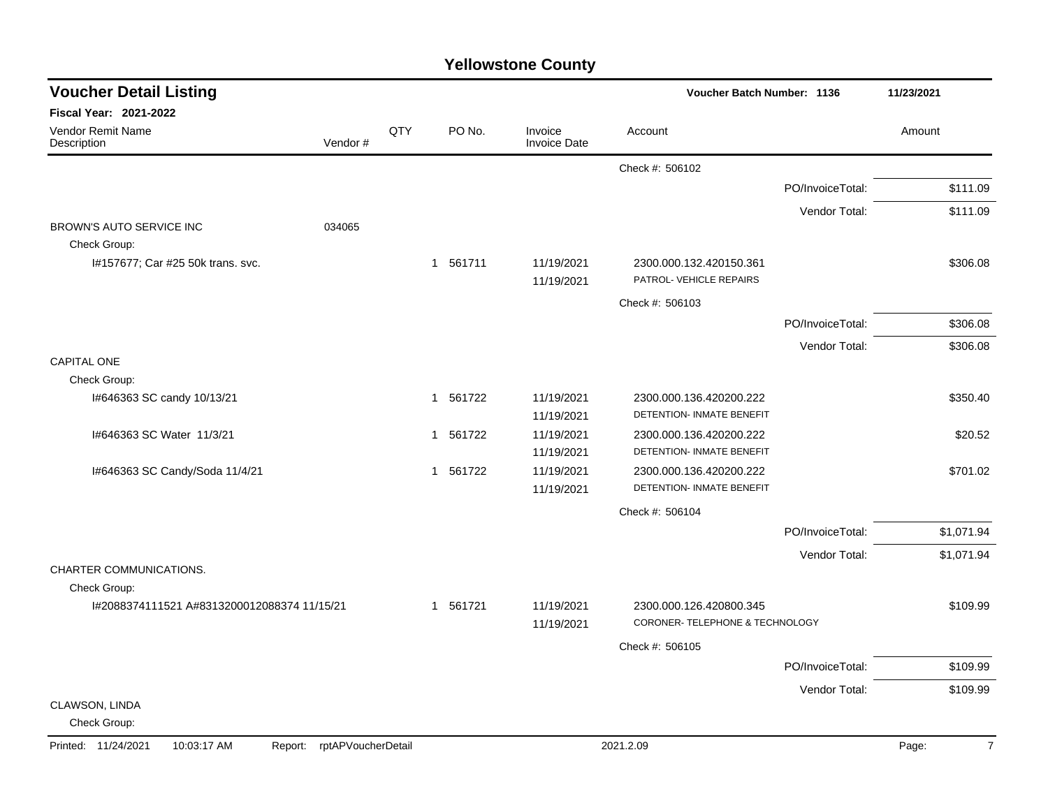| <b>Voucher Detail Listing</b>                               |                    |     |          |                                | Voucher Batch Number: 1136                                 |                  | 11/23/2021              |  |
|-------------------------------------------------------------|--------------------|-----|----------|--------------------------------|------------------------------------------------------------|------------------|-------------------------|--|
| <b>Fiscal Year: 2021-2022</b>                               |                    |     |          |                                |                                                            |                  |                         |  |
| <b>Vendor Remit Name</b><br>Description                     | Vendor#            | QTY | PO No.   | Invoice<br><b>Invoice Date</b> | Account                                                    |                  | Amount                  |  |
|                                                             |                    |     |          |                                | Check #: 506102                                            |                  |                         |  |
|                                                             |                    |     |          |                                |                                                            | PO/InvoiceTotal: | \$111.09                |  |
|                                                             |                    |     |          |                                |                                                            | Vendor Total:    | \$111.09                |  |
| BROWN'S AUTO SERVICE INC                                    | 034065             |     |          |                                |                                                            |                  |                         |  |
| Check Group:<br>I#157677; Car #25 50k trans. svc.           |                    |     | 1 561711 | 11/19/2021<br>11/19/2021       | 2300.000.132.420150.361<br>PATROL- VEHICLE REPAIRS         |                  | \$306.08                |  |
|                                                             |                    |     |          |                                | Check #: 506103                                            |                  |                         |  |
|                                                             |                    |     |          |                                |                                                            | PO/InvoiceTotal: | \$306.08                |  |
|                                                             |                    |     |          |                                |                                                            | Vendor Total:    | \$306.08                |  |
| <b>CAPITAL ONE</b>                                          |                    |     |          |                                |                                                            |                  |                         |  |
| Check Group:<br>I#646363 SC candy 10/13/21                  |                    |     | 1 561722 | 11/19/2021                     | 2300.000.136.420200.222                                    |                  | \$350.40                |  |
|                                                             |                    |     |          | 11/19/2021                     | DETENTION- INMATE BENEFIT                                  |                  |                         |  |
| I#646363 SC Water 11/3/21                                   |                    |     | 1 561722 | 11/19/2021<br>11/19/2021       | 2300.000.136.420200.222<br>DETENTION- INMATE BENEFIT       |                  | \$20.52                 |  |
| I#646363 SC Candy/Soda 11/4/21                              |                    |     | 1 561722 | 11/19/2021<br>11/19/2021       | 2300.000.136.420200.222<br>DETENTION- INMATE BENEFIT       |                  | \$701.02                |  |
|                                                             |                    |     |          |                                | Check #: 506104                                            |                  |                         |  |
|                                                             |                    |     |          |                                |                                                            | PO/InvoiceTotal: | \$1,071.94              |  |
|                                                             |                    |     |          |                                |                                                            | Vendor Total:    | \$1,071.94              |  |
| CHARTER COMMUNICATIONS.                                     |                    |     |          |                                |                                                            |                  |                         |  |
| Check Group:<br>I#2088374111521 A#8313200012088374 11/15/21 |                    |     | 1 561721 | 11/19/2021<br>11/19/2021       | 2300.000.126.420800.345<br>CORONER- TELEPHONE & TECHNOLOGY |                  | \$109.99                |  |
|                                                             |                    |     |          |                                | Check #: 506105                                            |                  |                         |  |
|                                                             |                    |     |          |                                |                                                            | PO/InvoiceTotal: | \$109.99                |  |
|                                                             |                    |     |          |                                |                                                            | Vendor Total:    | \$109.99                |  |
| CLAWSON, LINDA<br>Check Group:                              |                    |     |          |                                |                                                            |                  |                         |  |
| Printed: 11/24/2021<br>10:03:17 AM<br>Report:               | rptAPVoucherDetail |     |          |                                | 2021.2.09                                                  |                  | $\overline{7}$<br>Page: |  |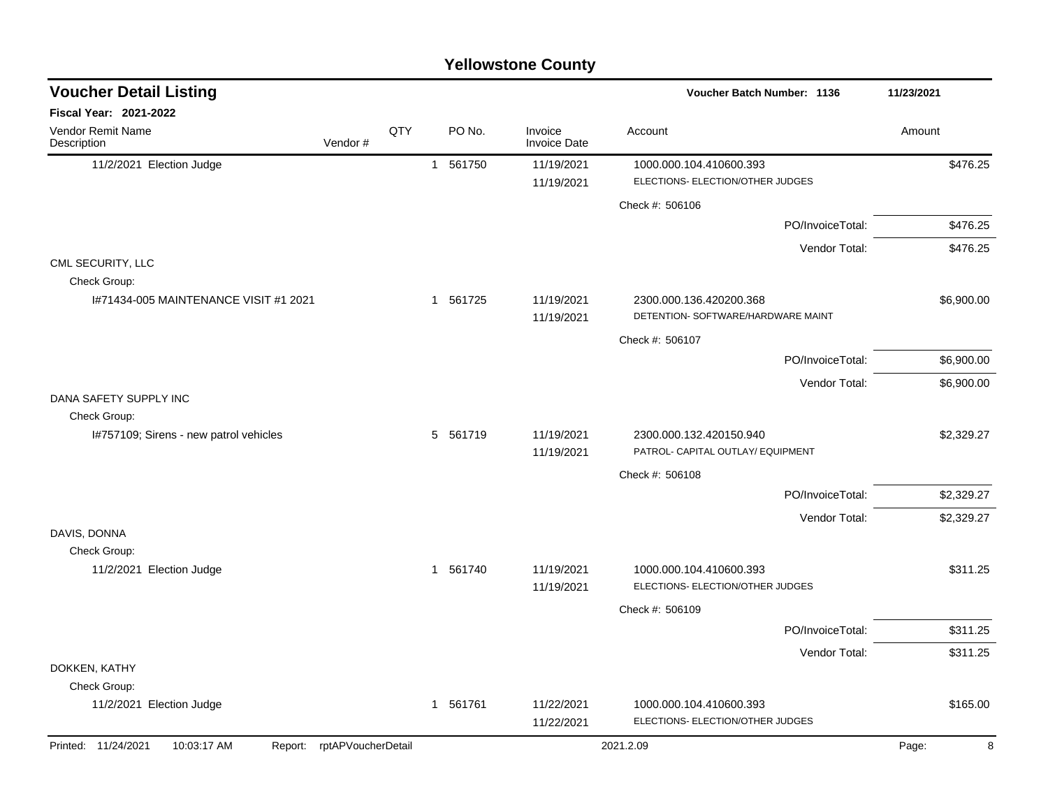|                                                        |                            |     |          | <b>Yellowstone County</b>      |                                                               |            |
|--------------------------------------------------------|----------------------------|-----|----------|--------------------------------|---------------------------------------------------------------|------------|
| <b>Voucher Detail Listing</b>                          |                            |     |          |                                | <b>Voucher Batch Number: 1136</b>                             | 11/23/2021 |
| Fiscal Year: 2021-2022                                 |                            |     |          |                                |                                                               |            |
| Vendor Remit Name<br>Description                       | Vendor#                    | QTY | PO No.   | Invoice<br><b>Invoice Date</b> | Account                                                       | Amount     |
| 11/2/2021 Election Judge                               |                            |     | 1 561750 | 11/19/2021<br>11/19/2021       | 1000.000.104.410600.393<br>ELECTIONS- ELECTION/OTHER JUDGES   | \$476.25   |
|                                                        |                            |     |          |                                | Check #: 506106                                               |            |
|                                                        |                            |     |          |                                | PO/InvoiceTotal:                                              | \$476.25   |
|                                                        |                            |     |          |                                | Vendor Total:                                                 | \$476.25   |
| CML SECURITY, LLC<br>Check Group:                      |                            |     |          |                                |                                                               |            |
| 1#71434-005 MAINTENANCE VISIT #1 2021                  |                            |     | 1 561725 | 11/19/2021<br>11/19/2021       | 2300.000.136.420200.368<br>DETENTION- SOFTWARE/HARDWARE MAINT | \$6,900.00 |
|                                                        |                            |     |          |                                | Check #: 506107                                               |            |
|                                                        |                            |     |          |                                | PO/InvoiceTotal:                                              | \$6,900.00 |
|                                                        |                            |     |          |                                | Vendor Total:                                                 | \$6,900.00 |
| DANA SAFETY SUPPLY INC                                 |                            |     |          |                                |                                                               |            |
| Check Group:<br>I#757109; Sirens - new patrol vehicles |                            |     | 5 561719 | 11/19/2021                     | 2300.000.132.420150.940                                       | \$2,329.27 |
|                                                        |                            |     |          | 11/19/2021                     | PATROL- CAPITAL OUTLAY/ EQUIPMENT                             |            |
|                                                        |                            |     |          |                                | Check #: 506108                                               |            |
|                                                        |                            |     |          |                                | PO/InvoiceTotal:                                              | \$2,329.27 |
|                                                        |                            |     |          |                                | Vendor Total:                                                 | \$2,329.27 |
| DAVIS, DONNA                                           |                            |     |          |                                |                                                               |            |
| Check Group:<br>11/2/2021 Election Judge               |                            |     | 1 561740 | 11/19/2021                     | 1000.000.104.410600.393                                       | \$311.25   |
|                                                        |                            |     |          | 11/19/2021                     | ELECTIONS- ELECTION/OTHER JUDGES                              |            |
|                                                        |                            |     |          |                                | Check #: 506109                                               |            |
|                                                        |                            |     |          |                                | PO/InvoiceTotal:                                              | \$311.25   |
|                                                        |                            |     |          |                                | Vendor Total:                                                 | \$311.25   |
| DOKKEN, KATHY<br>Check Group:                          |                            |     |          |                                |                                                               |            |
| 11/2/2021 Election Judge                               |                            |     | 1 561761 | 11/22/2021<br>11/22/2021       | 1000.000.104.410600.393<br>ELECTIONS- ELECTION/OTHER JUDGES   | \$165.00   |
| Printed: 11/24/2021<br>10:03:17 AM                     | Report: rptAPVoucherDetail |     |          |                                | 2021.2.09                                                     | Page:<br>8 |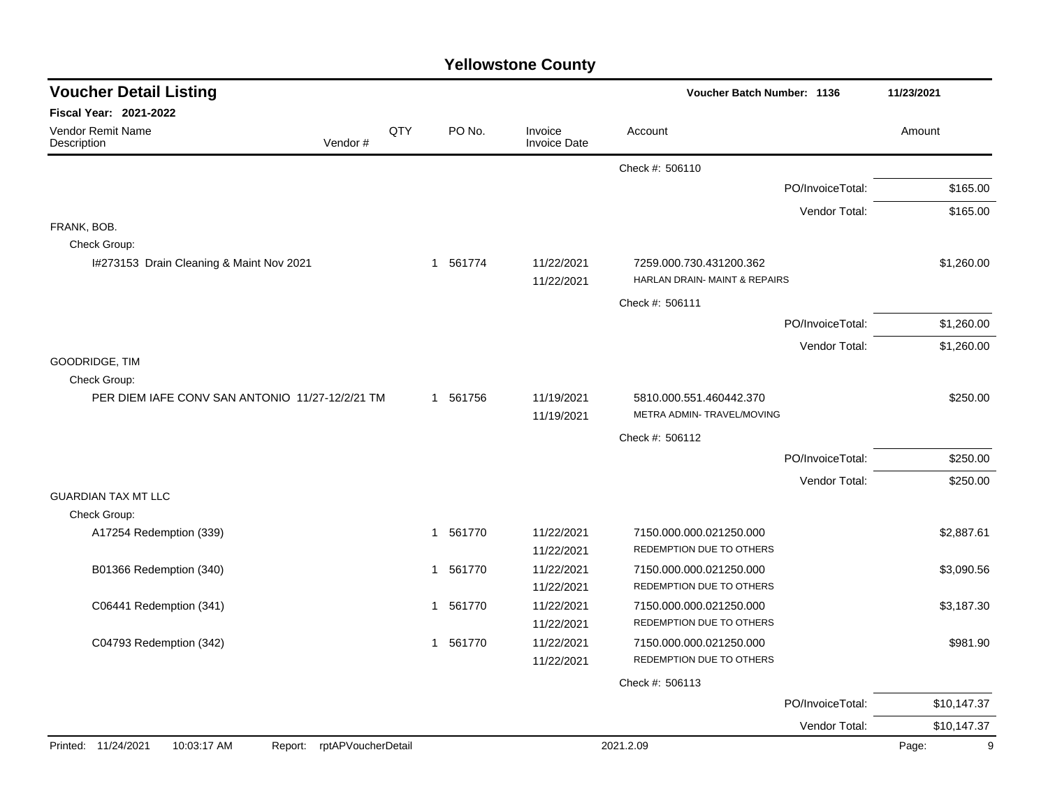| <b>Voucher Detail Listing</b>                   |                    |     |          |                                | Voucher Batch Number: 1136                               |                  | 11/23/2021  |  |
|-------------------------------------------------|--------------------|-----|----------|--------------------------------|----------------------------------------------------------|------------------|-------------|--|
| Fiscal Year: 2021-2022                          |                    |     |          |                                |                                                          |                  |             |  |
| Vendor Remit Name<br>Description                | Vendor#            | QTY | PO No.   | Invoice<br><b>Invoice Date</b> | Account                                                  |                  | Amount      |  |
|                                                 |                    |     |          |                                | Check #: 506110                                          |                  |             |  |
|                                                 |                    |     |          |                                |                                                          | PO/InvoiceTotal: | \$165.00    |  |
|                                                 |                    |     |          |                                |                                                          | Vendor Total:    | \$165.00    |  |
| FRANK, BOB.                                     |                    |     |          |                                |                                                          |                  |             |  |
| Check Group:                                    |                    |     |          |                                |                                                          |                  |             |  |
| I#273153 Drain Cleaning & Maint Nov 2021        |                    |     | 1 561774 | 11/22/2021<br>11/22/2021       | 7259.000.730.431200.362<br>HARLAN DRAIN- MAINT & REPAIRS |                  | \$1,260.00  |  |
|                                                 |                    |     |          |                                | Check #: 506111                                          |                  |             |  |
|                                                 |                    |     |          |                                |                                                          | PO/InvoiceTotal: | \$1,260.00  |  |
|                                                 |                    |     |          |                                |                                                          | Vendor Total:    | \$1,260.00  |  |
| GOODRIDGE, TIM                                  |                    |     |          |                                |                                                          |                  |             |  |
| Check Group:                                    |                    |     |          |                                |                                                          |                  |             |  |
| PER DIEM IAFE CONV SAN ANTONIO 11/27-12/2/21 TM |                    |     | 1 561756 | 11/19/2021<br>11/19/2021       | 5810.000.551.460442.370<br>METRA ADMIN- TRAVEL/MOVING    |                  | \$250.00    |  |
|                                                 |                    |     |          |                                | Check #: 506112                                          |                  |             |  |
|                                                 |                    |     |          |                                |                                                          | PO/InvoiceTotal: | \$250.00    |  |
|                                                 |                    |     |          |                                |                                                          | Vendor Total:    | \$250.00    |  |
| <b>GUARDIAN TAX MT LLC</b>                      |                    |     |          |                                |                                                          |                  |             |  |
| Check Group:                                    |                    |     |          |                                |                                                          |                  |             |  |
| A17254 Redemption (339)                         |                    |     | 1 561770 | 11/22/2021                     | 7150.000.000.021250.000                                  |                  | \$2,887.61  |  |
|                                                 |                    |     |          | 11/22/2021                     | REDEMPTION DUE TO OTHERS                                 |                  |             |  |
| B01366 Redemption (340)                         |                    |     | 1 561770 | 11/22/2021                     | 7150.000.000.021250.000                                  |                  | \$3,090.56  |  |
|                                                 |                    |     |          | 11/22/2021                     | REDEMPTION DUE TO OTHERS                                 |                  |             |  |
| C06441 Redemption (341)                         |                    |     | 1 561770 | 11/22/2021                     | 7150.000.000.021250.000                                  |                  | \$3,187.30  |  |
|                                                 |                    |     |          | 11/22/2021                     | REDEMPTION DUE TO OTHERS                                 |                  |             |  |
| C04793 Redemption (342)                         |                    |     | 1 561770 | 11/22/2021                     | 7150.000.000.021250.000                                  |                  | \$981.90    |  |
|                                                 |                    |     |          | 11/22/2021                     | REDEMPTION DUE TO OTHERS                                 |                  |             |  |
|                                                 |                    |     |          |                                | Check #: 506113                                          |                  |             |  |
|                                                 |                    |     |          |                                |                                                          | PO/InvoiceTotal: | \$10,147.37 |  |
|                                                 |                    |     |          |                                |                                                          | Vendor Total:    | \$10,147.37 |  |
| Printed: 11/24/2021<br>10:03:17 AM<br>Report:   | rptAPVoucherDetail |     |          |                                | 2021.2.09                                                |                  | 9<br>Page:  |  |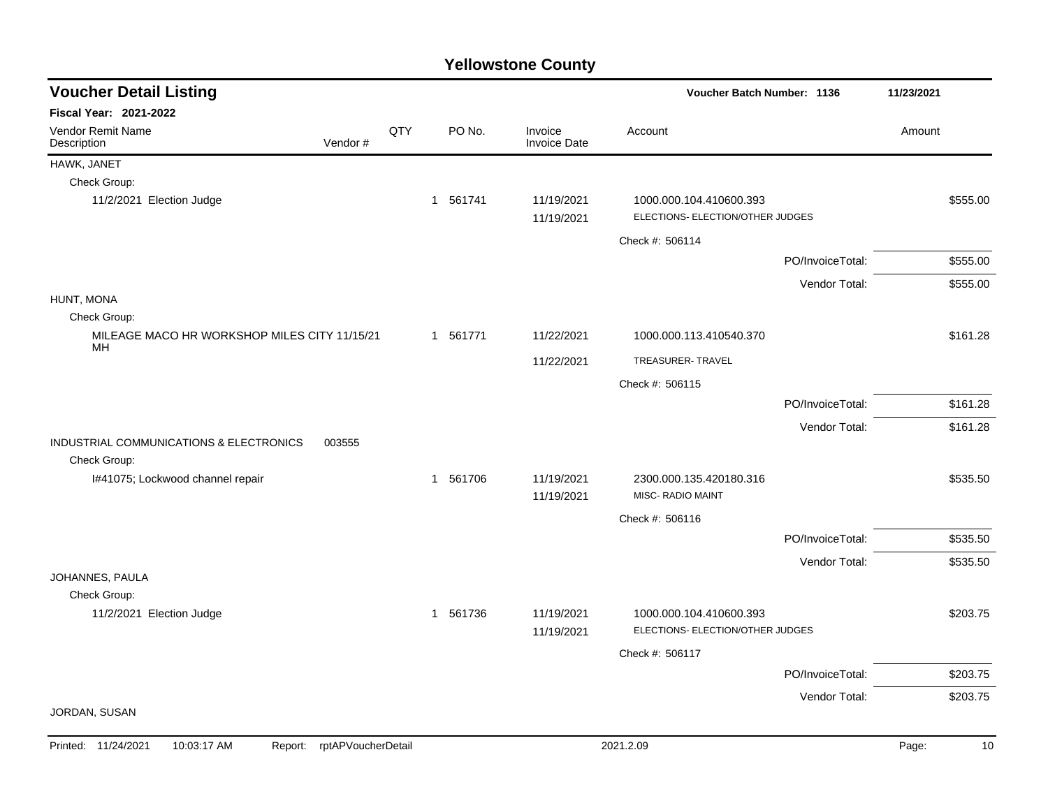| <b>Voucher Detail Listing</b>                      | Voucher Batch Number: 1136 |     | 11/23/2021 |                                |                                                             |                  |             |
|----------------------------------------------------|----------------------------|-----|------------|--------------------------------|-------------------------------------------------------------|------------------|-------------|
| <b>Fiscal Year: 2021-2022</b>                      |                            |     |            |                                |                                                             |                  |             |
| Vendor Remit Name<br>Description                   | Vendor#                    | QTY | PO No.     | Invoice<br><b>Invoice Date</b> | Account                                                     |                  | Amount      |
| HAWK, JANET                                        |                            |     |            |                                |                                                             |                  |             |
| Check Group:                                       |                            |     |            |                                |                                                             |                  |             |
| 11/2/2021 Election Judge                           |                            |     | 1 561741   | 11/19/2021<br>11/19/2021       | 1000.000.104.410600.393<br>ELECTIONS- ELECTION/OTHER JUDGES |                  | \$555.00    |
|                                                    |                            |     |            |                                | Check #: 506114                                             |                  |             |
|                                                    |                            |     |            |                                |                                                             | PO/InvoiceTotal: | \$555.00    |
|                                                    |                            |     |            |                                |                                                             | Vendor Total:    | \$555.00    |
| HUNT, MONA                                         |                            |     |            |                                |                                                             |                  |             |
| Check Group:                                       |                            |     |            |                                |                                                             |                  |             |
| MILEAGE MACO HR WORKSHOP MILES CITY 11/15/21<br>MН |                            |     | 1 561771   | 11/22/2021                     | 1000.000.113.410540.370                                     |                  | \$161.28    |
|                                                    |                            |     |            | 11/22/2021                     | TREASURER-TRAVEL                                            |                  |             |
|                                                    |                            |     |            |                                | Check #: 506115                                             |                  |             |
|                                                    |                            |     |            |                                |                                                             | PO/InvoiceTotal: | \$161.28    |
|                                                    |                            |     |            |                                |                                                             | Vendor Total:    | \$161.28    |
| INDUSTRIAL COMMUNICATIONS & ELECTRONICS<br>003555  |                            |     |            |                                |                                                             |                  |             |
| Check Group:                                       |                            |     |            |                                |                                                             |                  |             |
| I#41075; Lockwood channel repair                   |                            |     | 1 561706   | 11/19/2021<br>11/19/2021       | 2300.000.135.420180.316<br><b>MISC- RADIO MAINT</b>         |                  | \$535.50    |
|                                                    |                            |     |            |                                | Check #: 506116                                             |                  |             |
|                                                    |                            |     |            |                                |                                                             | PO/InvoiceTotal: | \$535.50    |
|                                                    |                            |     |            |                                |                                                             | Vendor Total:    | \$535.50    |
| JOHANNES, PAULA                                    |                            |     |            |                                |                                                             |                  |             |
| Check Group:                                       |                            |     |            |                                |                                                             |                  |             |
| 11/2/2021 Election Judge                           |                            |     | 1 561736   | 11/19/2021<br>11/19/2021       | 1000.000.104.410600.393<br>ELECTIONS- ELECTION/OTHER JUDGES |                  | \$203.75    |
|                                                    |                            |     |            |                                |                                                             |                  |             |
|                                                    |                            |     |            |                                | Check #: 506117                                             | PO/InvoiceTotal: | \$203.75    |
|                                                    |                            |     |            |                                |                                                             |                  |             |
| JORDAN, SUSAN                                      |                            |     |            |                                |                                                             | Vendor Total:    | \$203.75    |
| Printed: 11/24/2021<br>10:03:17 AM<br>Report:      | rptAPVoucherDetail         |     |            |                                | 2021.2.09                                                   |                  | Page:<br>10 |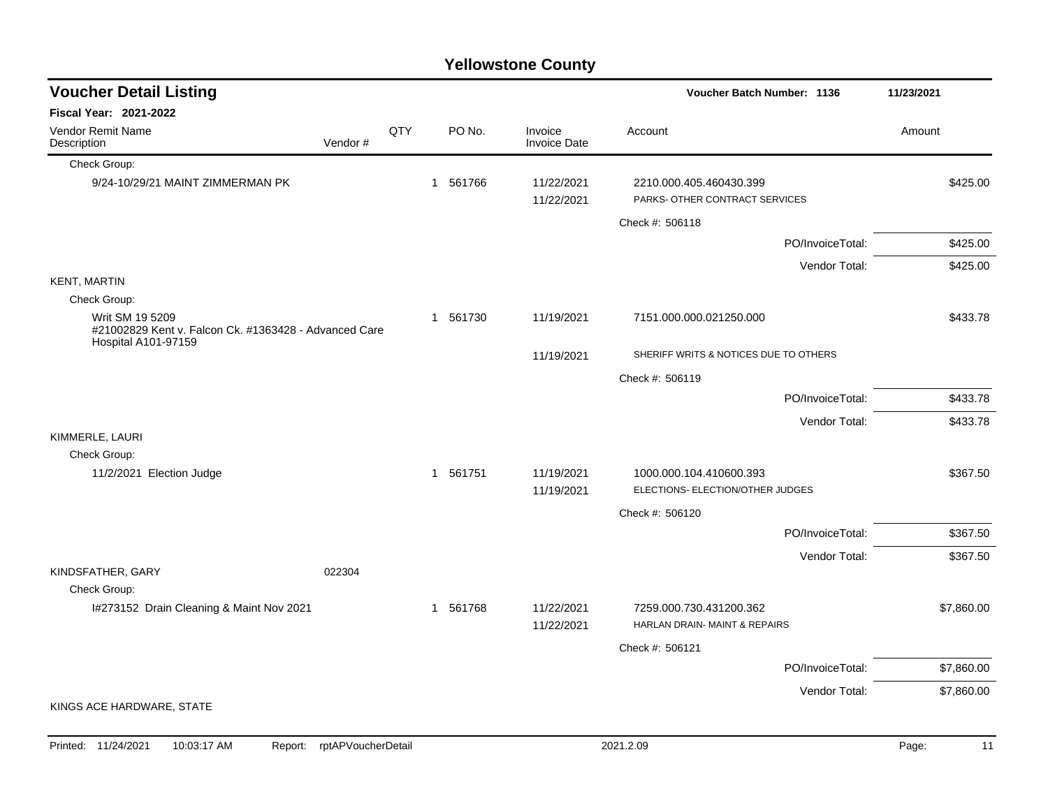|                                                                          |                            |     |          | <b>Yellowstone County</b>      |                                                             |             |
|--------------------------------------------------------------------------|----------------------------|-----|----------|--------------------------------|-------------------------------------------------------------|-------------|
| <b>Voucher Detail Listing</b>                                            |                            |     |          |                                | Voucher Batch Number: 1136                                  | 11/23/2021  |
| <b>Fiscal Year: 2021-2022</b>                                            |                            |     |          |                                |                                                             |             |
| Vendor Remit Name<br>Description                                         | Vendor#                    | QTY | PO No.   | Invoice<br><b>Invoice Date</b> | Account                                                     | Amount      |
| Check Group:                                                             |                            |     |          |                                |                                                             |             |
| 9/24-10/29/21 MAINT ZIMMERMAN PK                                         |                            |     | 1 561766 | 11/22/2021<br>11/22/2021       | 2210.000.405.460430.399<br>PARKS- OTHER CONTRACT SERVICES   | \$425.00    |
|                                                                          |                            |     |          |                                | Check #: 506118                                             |             |
|                                                                          |                            |     |          |                                | PO/InvoiceTotal:                                            | \$425.00    |
|                                                                          |                            |     |          |                                | Vendor Total:                                               | \$425.00    |
| <b>KENT, MARTIN</b>                                                      |                            |     |          |                                |                                                             |             |
| Check Group:                                                             |                            |     |          |                                |                                                             |             |
| Writ SM 19 5209<br>#21002829 Kent v. Falcon Ck. #1363428 - Advanced Care |                            |     | 1 561730 | 11/19/2021                     | 7151.000.000.021250.000                                     | \$433.78    |
| <b>Hospital A101-97159</b>                                               |                            |     |          | 11/19/2021                     | SHERIFF WRITS & NOTICES DUE TO OTHERS                       |             |
|                                                                          |                            |     |          |                                | Check #: 506119                                             |             |
|                                                                          |                            |     |          |                                | PO/InvoiceTotal:                                            | \$433.78    |
|                                                                          |                            |     |          |                                | Vendor Total:                                               | \$433.78    |
| KIMMERLE, LAURI                                                          |                            |     |          |                                |                                                             |             |
| Check Group:                                                             |                            |     |          |                                |                                                             |             |
| 11/2/2021 Election Judge                                                 |                            |     | 1 561751 | 11/19/2021<br>11/19/2021       | 1000.000.104.410600.393<br>ELECTIONS- ELECTION/OTHER JUDGES | \$367.50    |
|                                                                          |                            |     |          |                                | Check #: 506120                                             |             |
|                                                                          |                            |     |          |                                | PO/InvoiceTotal:                                            | \$367.50    |
|                                                                          |                            |     |          |                                | Vendor Total:                                               | \$367.50    |
| KINDSFATHER, GARY                                                        | 022304                     |     |          |                                |                                                             |             |
| Check Group:                                                             |                            |     |          |                                |                                                             |             |
| I#273152 Drain Cleaning & Maint Nov 2021                                 |                            |     | 1 561768 | 11/22/2021<br>11/22/2021       | 7259.000.730.431200.362<br>HARLAN DRAIN- MAINT & REPAIRS    | \$7,860.00  |
|                                                                          |                            |     |          |                                | Check #: 506121                                             |             |
|                                                                          |                            |     |          |                                | PO/InvoiceTotal:                                            | \$7,860.00  |
| KINGS ACE HARDWARE, STATE                                                |                            |     |          |                                | Vendor Total:                                               | \$7,860.00  |
|                                                                          |                            |     |          |                                |                                                             |             |
| 10:03:17 AM<br>Printed: 11/24/2021                                       | Report: rptAPVoucherDetail |     |          |                                | 2021.2.09                                                   | Page:<br>11 |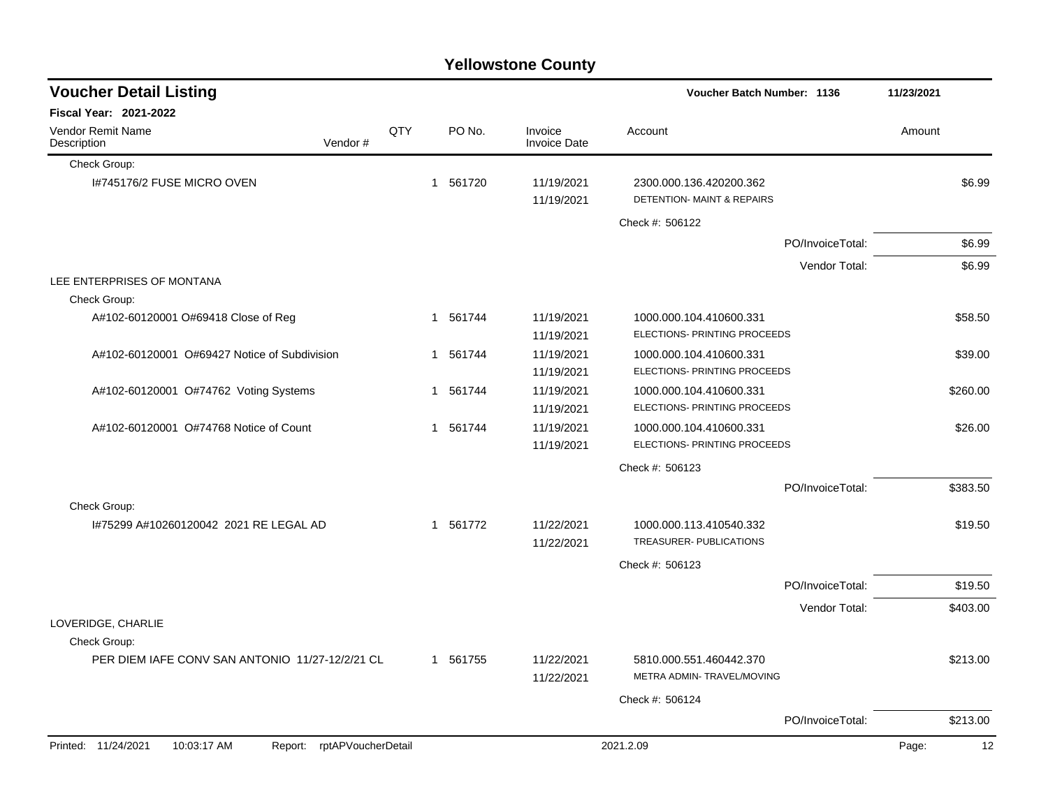|                                                                  |     |   |          | <b>Yellowstone County</b>      |                                                                  |                  |            |          |
|------------------------------------------------------------------|-----|---|----------|--------------------------------|------------------------------------------------------------------|------------------|------------|----------|
| <b>Voucher Detail Listing</b>                                    |     |   |          |                                | <b>Voucher Batch Number: 1136</b>                                |                  | 11/23/2021 |          |
| Fiscal Year: 2021-2022                                           |     |   |          |                                |                                                                  |                  |            |          |
| Vendor Remit Name<br>Description<br>Vendor#                      | QTY |   | PO No.   | Invoice<br><b>Invoice Date</b> | Account                                                          |                  | Amount     |          |
| Check Group:                                                     |     |   |          |                                |                                                                  |                  |            |          |
| I#745176/2 FUSE MICRO OVEN                                       |     |   | 1 561720 | 11/19/2021<br>11/19/2021       | 2300.000.136.420200.362<br><b>DETENTION- MAINT &amp; REPAIRS</b> |                  |            | \$6.99   |
|                                                                  |     |   |          |                                | Check #: 506122                                                  |                  |            |          |
|                                                                  |     |   |          |                                |                                                                  | PO/InvoiceTotal: |            | \$6.99   |
|                                                                  |     |   |          |                                |                                                                  | Vendor Total:    |            | \$6.99   |
| LEE ENTERPRISES OF MONTANA<br>Check Group:                       |     |   |          |                                |                                                                  |                  |            |          |
| A#102-60120001 O#69418 Close of Reg                              |     |   | 1 561744 | 11/19/2021                     | 1000.000.104.410600.331                                          |                  |            | \$58.50  |
|                                                                  |     |   |          | 11/19/2021                     | ELECTIONS- PRINTING PROCEEDS                                     |                  |            |          |
| A#102-60120001 O#69427 Notice of Subdivision                     |     | 1 | 561744   | 11/19/2021                     | 1000.000.104.410600.331                                          |                  |            | \$39.00  |
|                                                                  |     |   |          | 11/19/2021                     | ELECTIONS- PRINTING PROCEEDS                                     |                  |            |          |
| A#102-60120001 O#74762 Voting Systems                            |     |   | 1 561744 | 11/19/2021                     | 1000.000.104.410600.331                                          |                  |            | \$260.00 |
|                                                                  |     |   |          | 11/19/2021                     | ELECTIONS- PRINTING PROCEEDS                                     |                  |            |          |
| A#102-60120001 O#74768 Notice of Count                           |     |   | 1 561744 | 11/19/2021                     | 1000.000.104.410600.331                                          |                  |            | \$26.00  |
|                                                                  |     |   |          | 11/19/2021                     | ELECTIONS- PRINTING PROCEEDS                                     |                  |            |          |
|                                                                  |     |   |          |                                | Check #: 506123                                                  |                  |            |          |
|                                                                  |     |   |          |                                |                                                                  | PO/InvoiceTotal: |            | \$383.50 |
| Check Group:                                                     |     |   |          |                                |                                                                  |                  |            |          |
| 1#75299 A#10260120042 2021 RE LEGAL AD                           |     |   | 1 561772 | 11/22/2021<br>11/22/2021       | 1000.000.113.410540.332<br>TREASURER- PUBLICATIONS               |                  |            | \$19.50  |
|                                                                  |     |   |          |                                | Check #: 506123                                                  |                  |            |          |
|                                                                  |     |   |          |                                |                                                                  | PO/InvoiceTotal: |            | \$19.50  |
|                                                                  |     |   |          |                                |                                                                  | Vendor Total:    |            | \$403.00 |
| LOVERIDGE, CHARLIE                                               |     |   |          |                                |                                                                  |                  |            |          |
| Check Group:                                                     |     |   |          |                                |                                                                  |                  |            |          |
| PER DIEM IAFE CONV SAN ANTONIO 11/27-12/2/21 CL                  |     |   | 1 561755 | 11/22/2021<br>11/22/2021       | 5810.000.551.460442.370<br>METRA ADMIN- TRAVEL/MOVING            |                  |            | \$213.00 |
|                                                                  |     |   |          |                                | Check #: 506124                                                  |                  |            |          |
|                                                                  |     |   |          |                                |                                                                  | PO/InvoiceTotal: |            | \$213.00 |
| Printed: 11/24/2021<br>10:03:17 AM<br>Report: rptAPVoucherDetail |     |   |          |                                | 2021.2.09                                                        |                  | Page:      | 12       |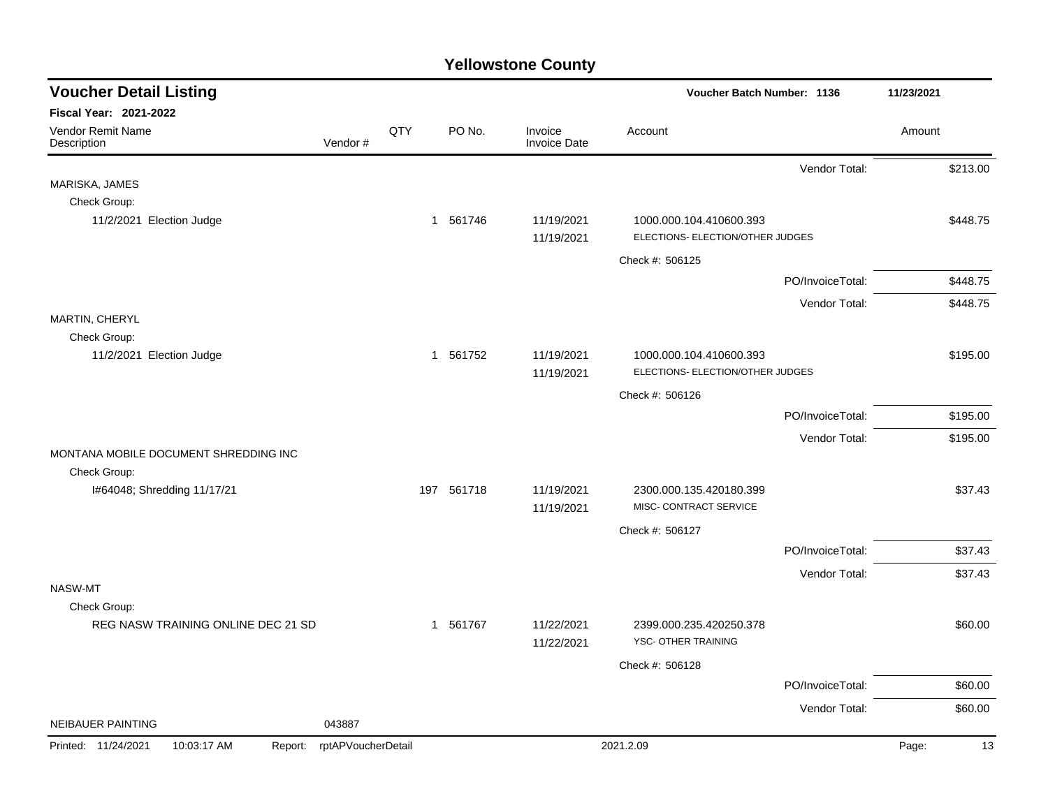| <b>Voucher Detail Listing</b>                         |                    |     |            |                                | Voucher Batch Number: 1136                                  |                  | 11/23/2021  |
|-------------------------------------------------------|--------------------|-----|------------|--------------------------------|-------------------------------------------------------------|------------------|-------------|
| Fiscal Year: 2021-2022                                |                    |     |            |                                |                                                             |                  |             |
| Vendor Remit Name<br>Description                      | Vendor#            | QTY | PO No.     | Invoice<br><b>Invoice Date</b> | Account                                                     |                  | Amount      |
|                                                       |                    |     |            |                                |                                                             | Vendor Total:    | \$213.00    |
| MARISKA, JAMES                                        |                    |     |            |                                |                                                             |                  |             |
| Check Group:                                          |                    |     |            |                                |                                                             |                  |             |
| 11/2/2021 Election Judge                              |                    |     | 1 561746   | 11/19/2021<br>11/19/2021       | 1000.000.104.410600.393<br>ELECTIONS- ELECTION/OTHER JUDGES |                  | \$448.75    |
|                                                       |                    |     |            |                                | Check #: 506125                                             |                  |             |
|                                                       |                    |     |            |                                |                                                             | PO/InvoiceTotal: | \$448.75    |
|                                                       |                    |     |            |                                |                                                             | Vendor Total:    | \$448.75    |
| MARTIN, CHERYL                                        |                    |     |            |                                |                                                             |                  |             |
| Check Group:                                          |                    |     |            |                                |                                                             |                  |             |
| 11/2/2021 Election Judge                              |                    |     | 1 561752   | 11/19/2021                     | 1000.000.104.410600.393                                     |                  | \$195.00    |
|                                                       |                    |     |            | 11/19/2021                     | ELECTIONS- ELECTION/OTHER JUDGES                            |                  |             |
|                                                       |                    |     |            |                                | Check #: 506126                                             |                  |             |
|                                                       |                    |     |            |                                |                                                             | PO/InvoiceTotal: | \$195.00    |
|                                                       |                    |     |            |                                |                                                             | Vendor Total:    | \$195.00    |
| MONTANA MOBILE DOCUMENT SHREDDING INC<br>Check Group: |                    |     |            |                                |                                                             |                  |             |
| I#64048; Shredding 11/17/21                           |                    |     | 197 561718 | 11/19/2021                     | 2300.000.135.420180.399                                     |                  | \$37.43     |
|                                                       |                    |     |            | 11/19/2021                     | MISC- CONTRACT SERVICE                                      |                  |             |
|                                                       |                    |     |            |                                | Check #: 506127                                             |                  |             |
|                                                       |                    |     |            |                                |                                                             | PO/InvoiceTotal: | \$37.43     |
|                                                       |                    |     |            |                                |                                                             | Vendor Total:    | \$37.43     |
| NASW-MT                                               |                    |     |            |                                |                                                             |                  |             |
| Check Group:                                          |                    |     |            |                                |                                                             |                  |             |
| REG NASW TRAINING ONLINE DEC 21 SD                    |                    |     | 1 561767   | 11/22/2021<br>11/22/2021       | 2399.000.235.420250.378<br>YSC- OTHER TRAINING              |                  | \$60.00     |
|                                                       |                    |     |            |                                | Check #: 506128                                             |                  |             |
|                                                       |                    |     |            |                                |                                                             | PO/InvoiceTotal: | \$60.00     |
|                                                       |                    |     |            |                                |                                                             | Vendor Total:    | \$60.00     |
| NEIBAUER PAINTING                                     | 043887             |     |            |                                |                                                             |                  |             |
| Printed: 11/24/2021<br>10:03:17 AM<br>Report:         | rptAPVoucherDetail |     |            |                                | 2021.2.09                                                   |                  | Page:<br>13 |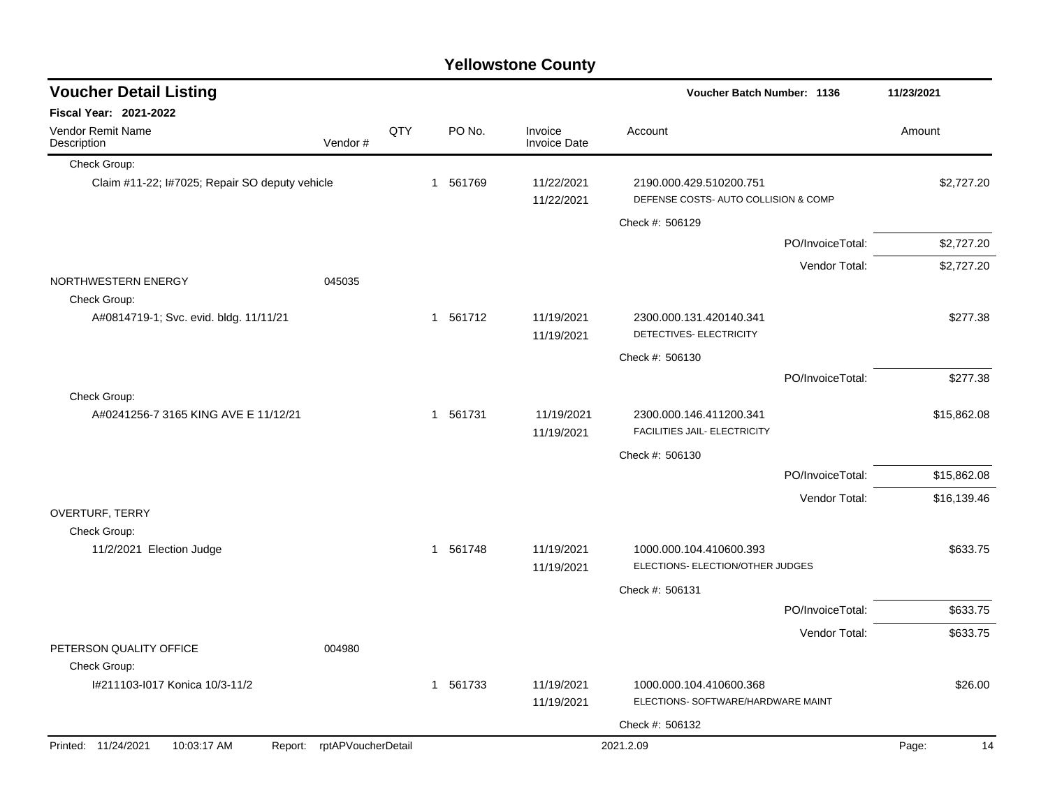|  | <b>Yellowstone County</b> |  |
|--|---------------------------|--|
|--|---------------------------|--|

 $\overline{\phantom{a}}$ 

| <b>Voucher Detail Listing</b>                  |                            |     |          |                                | <b>Voucher Batch Number: 1136</b>                               |                  |             |
|------------------------------------------------|----------------------------|-----|----------|--------------------------------|-----------------------------------------------------------------|------------------|-------------|
| <b>Fiscal Year: 2021-2022</b>                  |                            |     |          |                                |                                                                 |                  |             |
| Vendor Remit Name<br>Description               | Vendor#                    | QTY | PO No.   | Invoice<br><b>Invoice Date</b> | Account                                                         |                  | Amount      |
| Check Group:                                   |                            |     |          |                                |                                                                 |                  |             |
| Claim #11-22; I#7025; Repair SO deputy vehicle |                            |     | 1 561769 | 11/22/2021<br>11/22/2021       | 2190.000.429.510200.751<br>DEFENSE COSTS- AUTO COLLISION & COMP |                  | \$2,727.20  |
|                                                |                            |     |          |                                | Check #: 506129                                                 |                  |             |
|                                                |                            |     |          |                                |                                                                 | PO/InvoiceTotal: | \$2,727.20  |
|                                                |                            |     |          |                                |                                                                 | Vendor Total:    | \$2,727.20  |
| NORTHWESTERN ENERGY<br>Check Group:            | 045035                     |     |          |                                |                                                                 |                  |             |
| A#0814719-1; Svc. evid. bldg. 11/11/21         |                            |     | 1 561712 | 11/19/2021<br>11/19/2021       | 2300.000.131.420140.341<br>DETECTIVES- ELECTRICITY              |                  | \$277.38    |
|                                                |                            |     |          |                                | Check #: 506130                                                 |                  |             |
|                                                |                            |     |          |                                |                                                                 | PO/InvoiceTotal: | \$277.38    |
| Check Group:                                   |                            |     |          |                                |                                                                 |                  |             |
| A#0241256-7 3165 KING AVE E 11/12/21           |                            |     | 1 561731 | 11/19/2021<br>11/19/2021       | 2300.000.146.411200.341<br>FACILITIES JAIL- ELECTRICITY         |                  | \$15,862.08 |
|                                                |                            |     |          |                                | Check #: 506130                                                 |                  |             |
|                                                |                            |     |          |                                |                                                                 | PO/InvoiceTotal: | \$15,862.08 |
|                                                |                            |     |          |                                |                                                                 | Vendor Total:    | \$16,139.46 |
| OVERTURF, TERRY<br>Check Group:                |                            |     |          |                                |                                                                 |                  |             |
| 11/2/2021 Election Judge                       |                            |     | 1 561748 | 11/19/2021<br>11/19/2021       | 1000.000.104.410600.393<br>ELECTIONS- ELECTION/OTHER JUDGES     |                  | \$633.75    |
|                                                |                            |     |          |                                | Check #: 506131                                                 |                  |             |
|                                                |                            |     |          |                                |                                                                 | PO/InvoiceTotal: | \$633.75    |
|                                                |                            |     |          |                                |                                                                 |                  |             |
| PETERSON QUALITY OFFICE<br>Check Group:        | 004980                     |     |          |                                |                                                                 | Vendor Total:    | \$633.75    |
| I#211103-I017 Konica 10/3-11/2                 |                            |     | 1 561733 | 11/19/2021<br>11/19/2021       | 1000.000.104.410600.368<br>ELECTIONS- SOFTWARE/HARDWARE MAINT   |                  | \$26.00     |
|                                                |                            |     |          |                                | Check #: 506132                                                 |                  |             |
| Printed: 11/24/2021<br>10:03:17 AM             | Report: rptAPVoucherDetail |     |          |                                | 2021.2.09                                                       |                  | Page:<br>14 |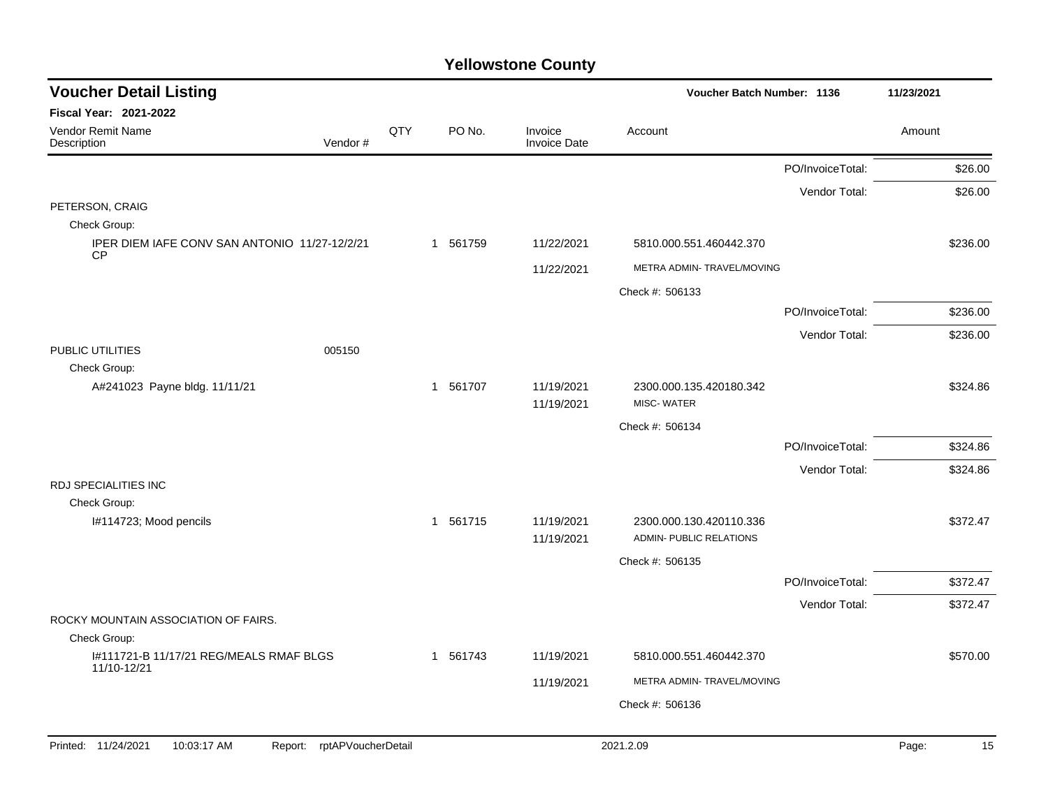| <b>Voucher Detail Listing</b>                                       |     |                        |                                | Voucher Batch Number: 1136                         |                  | 11/23/2021 |          |
|---------------------------------------------------------------------|-----|------------------------|--------------------------------|----------------------------------------------------|------------------|------------|----------|
| <b>Fiscal Year: 2021-2022</b>                                       |     |                        |                                |                                                    |                  |            |          |
| Vendor Remit Name<br>Vendor#<br>Description                         | QTY | PO No.                 | Invoice<br><b>Invoice Date</b> | Account                                            |                  | Amount     |          |
|                                                                     |     |                        |                                |                                                    | PO/InvoiceTotal: |            | \$26.00  |
|                                                                     |     |                        |                                |                                                    | Vendor Total:    |            | \$26.00  |
| PETERSON, CRAIG                                                     |     |                        |                                |                                                    |                  |            |          |
| Check Group:<br>IPER DIEM IAFE CONV SAN ANTONIO 11/27-12/2/21       |     | 1 561759               | 11/22/2021                     | 5810.000.551.460442.370                            |                  |            | \$236.00 |
| <b>CP</b>                                                           |     |                        |                                |                                                    |                  |            |          |
|                                                                     |     |                        | 11/22/2021                     | METRA ADMIN- TRAVEL/MOVING                         |                  |            |          |
|                                                                     |     |                        |                                | Check #: 506133                                    |                  |            |          |
|                                                                     |     |                        |                                |                                                    | PO/InvoiceTotal: |            | \$236.00 |
| PUBLIC UTILITIES<br>005150                                          |     |                        |                                |                                                    | Vendor Total:    |            | \$236.00 |
| Check Group:                                                        |     |                        |                                |                                                    |                  |            |          |
| A#241023 Payne bldg. 11/11/21                                       |     | 561707<br>$\mathbf{1}$ | 11/19/2021<br>11/19/2021       | 2300.000.135.420180.342<br>MISC-WATER              |                  |            | \$324.86 |
|                                                                     |     |                        |                                | Check #: 506134                                    |                  |            |          |
|                                                                     |     |                        |                                |                                                    | PO/InvoiceTotal: |            | \$324.86 |
|                                                                     |     |                        |                                |                                                    | Vendor Total:    |            | \$324.86 |
| <b>RDJ SPECIALITIES INC</b>                                         |     |                        |                                |                                                    |                  |            |          |
| Check Group:                                                        |     |                        |                                |                                                    |                  |            |          |
| I#114723; Mood pencils                                              |     | 1 561715               | 11/19/2021<br>11/19/2021       | 2300.000.130.420110.336<br>ADMIN- PUBLIC RELATIONS |                  |            | \$372.47 |
|                                                                     |     |                        |                                | Check #: 506135                                    |                  |            |          |
|                                                                     |     |                        |                                |                                                    | PO/InvoiceTotal: |            | \$372.47 |
|                                                                     |     |                        |                                |                                                    | Vendor Total:    |            | \$372.47 |
| ROCKY MOUNTAIN ASSOCIATION OF FAIRS.                                |     |                        |                                |                                                    |                  |            |          |
| Check Group:                                                        |     |                        |                                |                                                    |                  |            |          |
| 1#111721-B 11/17/21 REG/MEALS RMAF BLGS<br>11/10-12/21              |     | 1 561743               | 11/19/2021                     | 5810.000.551.460442.370                            |                  |            | \$570.00 |
|                                                                     |     |                        | 11/19/2021                     | METRA ADMIN- TRAVEL/MOVING                         |                  |            |          |
|                                                                     |     |                        |                                | Check #: 506136                                    |                  |            |          |
|                                                                     |     |                        |                                |                                                    |                  |            |          |
| Printed: 11/24/2021<br>rptAPVoucherDetail<br>10:03:17 AM<br>Report: |     |                        |                                | 2021.2.09                                          |                  | Page:      | 15       |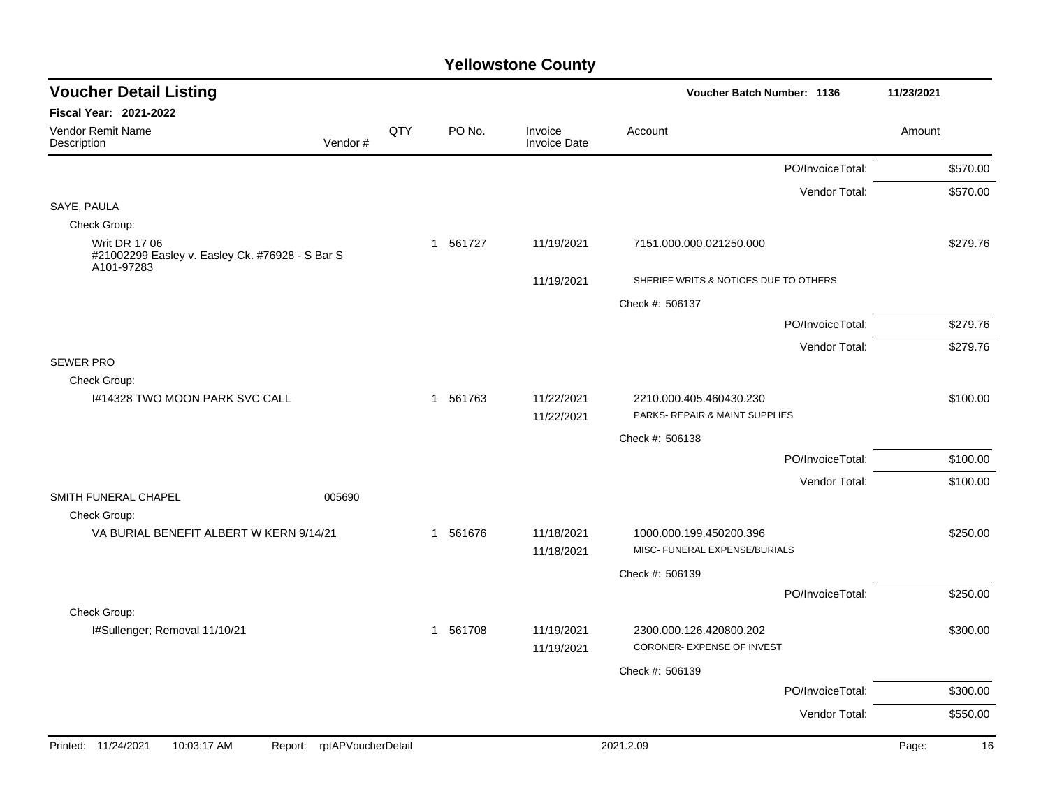| <b>Voucher Detail Listing</b>                                                         |         |     |          |                                | Voucher Batch Number: 1136                                |                  | 11/23/2021 |          |
|---------------------------------------------------------------------------------------|---------|-----|----------|--------------------------------|-----------------------------------------------------------|------------------|------------|----------|
| Fiscal Year: 2021-2022                                                                |         |     |          |                                |                                                           |                  |            |          |
| Vendor Remit Name<br>Description                                                      | Vendor# | QTY | PO No.   | Invoice<br><b>Invoice Date</b> | Account                                                   |                  | Amount     |          |
|                                                                                       |         |     |          |                                |                                                           | PO/InvoiceTotal: |            | \$570.00 |
|                                                                                       |         |     |          |                                |                                                           | Vendor Total:    |            | \$570.00 |
| SAYE, PAULA                                                                           |         |     |          |                                |                                                           |                  |            |          |
| Check Group:                                                                          |         |     |          |                                |                                                           |                  |            |          |
| <b>Writ DR 17 06</b><br>#21002299 Easley v. Easley Ck. #76928 - S Bar S<br>A101-97283 |         |     | 1 561727 | 11/19/2021                     | 7151.000.000.021250.000                                   |                  |            | \$279.76 |
|                                                                                       |         |     |          | 11/19/2021                     | SHERIFF WRITS & NOTICES DUE TO OTHERS                     |                  |            |          |
|                                                                                       |         |     |          |                                | Check #: 506137                                           |                  |            |          |
|                                                                                       |         |     |          |                                |                                                           | PO/InvoiceTotal: |            | \$279.76 |
|                                                                                       |         |     |          |                                |                                                           | Vendor Total:    |            | \$279.76 |
| <b>SEWER PRO</b>                                                                      |         |     |          |                                |                                                           |                  |            |          |
| Check Group:                                                                          |         |     |          |                                |                                                           |                  |            |          |
| 1#14328 TWO MOON PARK SVC CALL                                                        |         |     | 1 561763 | 11/22/2021<br>11/22/2021       | 2210.000.405.460430.230<br>PARKS- REPAIR & MAINT SUPPLIES |                  |            | \$100.00 |
|                                                                                       |         |     |          |                                | Check #: 506138                                           |                  |            |          |
|                                                                                       |         |     |          |                                |                                                           | PO/InvoiceTotal: |            | \$100.00 |
|                                                                                       |         |     |          |                                |                                                           | Vendor Total:    |            | \$100.00 |
| SMITH FUNERAL CHAPEL                                                                  | 005690  |     |          |                                |                                                           |                  |            |          |
| Check Group:                                                                          |         |     |          |                                |                                                           |                  |            |          |
| VA BURIAL BENEFIT ALBERT W KERN 9/14/21                                               |         |     | 1 561676 | 11/18/2021<br>11/18/2021       | 1000.000.199.450200.396<br>MISC- FUNERAL EXPENSE/BURIALS  |                  |            | \$250.00 |
|                                                                                       |         |     |          |                                | Check #: 506139                                           |                  |            |          |
|                                                                                       |         |     |          |                                |                                                           | PO/InvoiceTotal: |            | \$250.00 |
| Check Group:                                                                          |         |     |          |                                |                                                           |                  |            |          |
| I#Sullenger; Removal 11/10/21                                                         |         |     | 1 561708 | 11/19/2021<br>11/19/2021       | 2300.000.126.420800.202<br>CORONER- EXPENSE OF INVEST     |                  |            | \$300.00 |
|                                                                                       |         |     |          |                                | Check #: 506139                                           |                  |            |          |
|                                                                                       |         |     |          |                                |                                                           | PO/InvoiceTotal: |            | \$300.00 |
|                                                                                       |         |     |          |                                |                                                           | Vendor Total:    |            | \$550.00 |
| Printed: 11/24/2021<br>10:03:17 AM<br>Report: rptAPVoucherDetail                      |         |     |          |                                | 2021.2.09                                                 |                  | Page:      | 16       |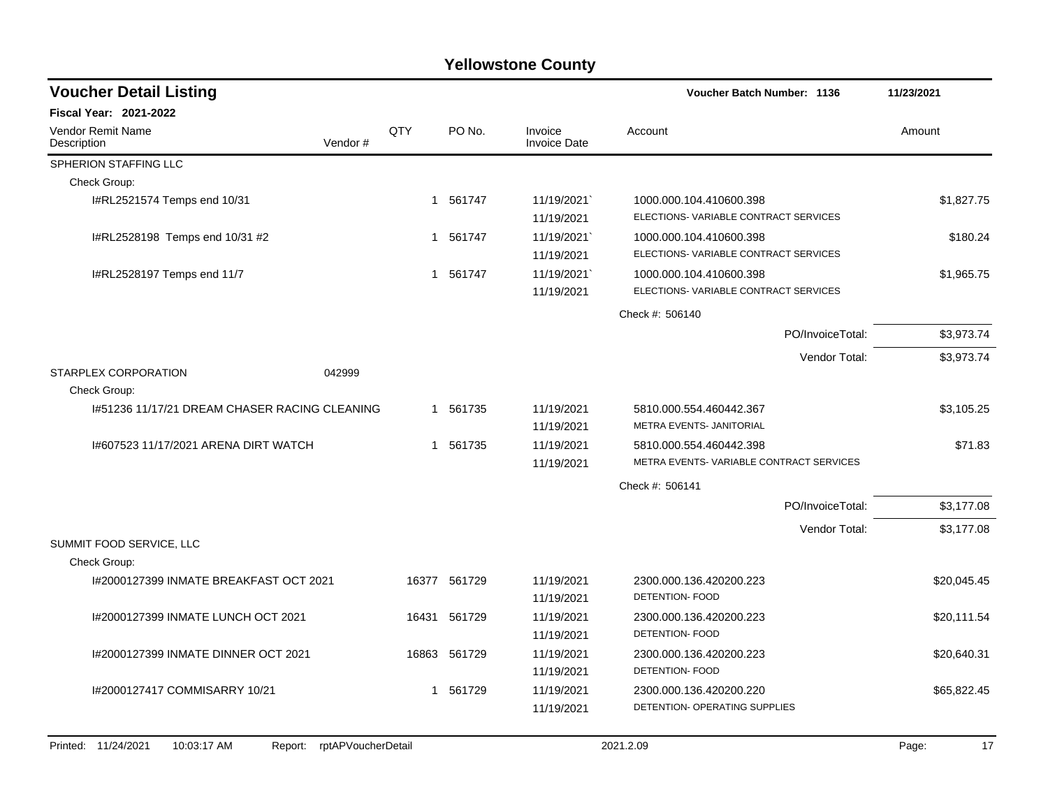| <b>Voucher Detail Listing</b>                 |         |     |              |                                | <b>Voucher Batch Number: 1136</b>       | 11/23/2021  |
|-----------------------------------------------|---------|-----|--------------|--------------------------------|-----------------------------------------|-------------|
| <b>Fiscal Year: 2021-2022</b>                 |         |     |              |                                |                                         |             |
| Vendor Remit Name<br>Description              | Vendor# | QTY | PO No.       | Invoice<br><b>Invoice Date</b> | Account                                 | Amount      |
| SPHERION STAFFING LLC                         |         |     |              |                                |                                         |             |
| Check Group:                                  |         |     |              |                                |                                         |             |
| I#RL2521574 Temps end 10/31                   |         |     | 1 561747     | 11/19/2021                     | 1000.000.104.410600.398                 | \$1,827.75  |
|                                               |         |     |              | 11/19/2021                     | ELECTIONS-VARIABLE CONTRACT SERVICES    |             |
| I#RL2528198 Temps end 10/31 #2                |         |     | 1 561747     | 11/19/2021`                    | 1000.000.104.410600.398                 | \$180.24    |
|                                               |         |     |              | 11/19/2021                     | ELECTIONS-VARIABLE CONTRACT SERVICES    |             |
| I#RL2528197 Temps end 11/7                    |         | 1   | 561747       | 11/19/2021`                    | 1000.000.104.410600.398                 | \$1,965.75  |
|                                               |         |     |              | 11/19/2021                     | ELECTIONS-VARIABLE CONTRACT SERVICES    |             |
|                                               |         |     |              |                                | Check #: 506140                         |             |
|                                               |         |     |              |                                | PO/InvoiceTotal:                        | \$3,973.74  |
|                                               |         |     |              |                                | Vendor Total:                           | \$3,973.74  |
| STARPLEX CORPORATION                          | 042999  |     |              |                                |                                         |             |
| Check Group:                                  |         |     |              |                                |                                         |             |
| 1#51236 11/17/21 DREAM CHASER RACING CLEANING |         |     | 1 561735     | 11/19/2021                     | 5810.000.554.460442.367                 | \$3,105.25  |
|                                               |         |     |              | 11/19/2021                     | METRA EVENTS- JANITORIAL                |             |
| I#607523 11/17/2021 ARENA DIRT WATCH          |         |     | 1 561735     | 11/19/2021                     | 5810.000.554.460442.398                 | \$71.83     |
|                                               |         |     |              | 11/19/2021                     | METRA EVENTS-VARIABLE CONTRACT SERVICES |             |
|                                               |         |     |              |                                | Check #: 506141                         |             |
|                                               |         |     |              |                                | PO/InvoiceTotal:                        | \$3,177.08  |
|                                               |         |     |              |                                | Vendor Total:                           | \$3,177.08  |
| SUMMIT FOOD SERVICE, LLC                      |         |     |              |                                |                                         |             |
| Check Group:                                  |         |     |              |                                |                                         |             |
| 1#2000127399 INMATE BREAKFAST OCT 2021        |         |     | 16377 561729 | 11/19/2021                     | 2300.000.136.420200.223                 | \$20,045.45 |
|                                               |         |     |              | 11/19/2021                     | <b>DETENTION- FOOD</b>                  |             |
| 1#2000127399 INMATE LUNCH OCT 2021            |         |     | 16431 561729 | 11/19/2021                     | 2300.000.136.420200.223                 | \$20,111.54 |
|                                               |         |     |              | 11/19/2021                     | DETENTION- FOOD                         |             |
| I#2000127399 INMATE DINNER OCT 2021           |         |     | 16863 561729 | 11/19/2021                     | 2300.000.136.420200.223                 | \$20,640.31 |
|                                               |         |     |              | 11/19/2021                     | DETENTION- FOOD                         |             |
| I#2000127417 COMMISARRY 10/21                 |         |     | 1 561729     | 11/19/2021                     | 2300.000.136.420200.220                 | \$65,822.45 |
|                                               |         |     |              | 11/19/2021                     | DETENTION- OPERATING SUPPLIES           |             |
|                                               |         |     |              |                                |                                         |             |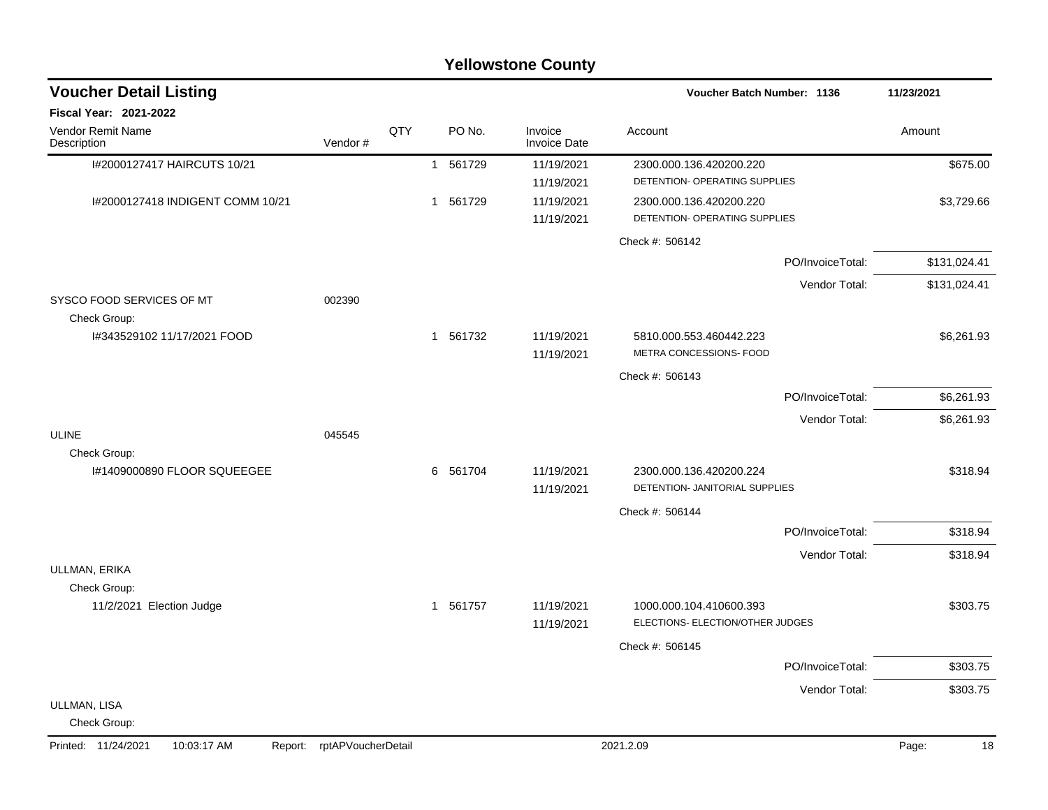|                                               |                    |     |                        | <b>Yellowstone County</b>      |                                                             |                  |              |
|-----------------------------------------------|--------------------|-----|------------------------|--------------------------------|-------------------------------------------------------------|------------------|--------------|
| <b>Voucher Detail Listing</b>                 |                    |     |                        |                                | Voucher Batch Number: 1136                                  |                  | 11/23/2021   |
| <b>Fiscal Year: 2021-2022</b>                 |                    |     |                        |                                |                                                             |                  |              |
| Vendor Remit Name<br>Description              | Vendor#            | QTY | PO No.                 | Invoice<br><b>Invoice Date</b> | Account                                                     |                  | Amount       |
| I#2000127417 HAIRCUTS 10/21                   |                    |     | 561729<br>$\mathbf{1}$ | 11/19/2021                     | 2300.000.136.420200.220                                     |                  | \$675.00     |
|                                               |                    |     |                        | 11/19/2021                     | DETENTION- OPERATING SUPPLIES                               |                  |              |
| I#2000127418 INDIGENT COMM 10/21              |                    |     | 1 561729               | 11/19/2021<br>11/19/2021       | 2300.000.136.420200.220<br>DETENTION- OPERATING SUPPLIES    |                  | \$3,729.66   |
|                                               |                    |     |                        |                                | Check #: 506142                                             |                  |              |
|                                               |                    |     |                        |                                |                                                             | PO/InvoiceTotal: | \$131,024.41 |
|                                               |                    |     |                        |                                |                                                             | Vendor Total:    | \$131,024.41 |
| SYSCO FOOD SERVICES OF MT<br>Check Group:     | 002390             |     |                        |                                |                                                             |                  |              |
| I#343529102 11/17/2021 FOOD                   |                    |     | 561732<br>$\mathbf 1$  | 11/19/2021<br>11/19/2021       | 5810.000.553.460442.223<br>METRA CONCESSIONS- FOOD          |                  | \$6,261.93   |
|                                               |                    |     |                        |                                | Check #: 506143                                             |                  |              |
|                                               |                    |     |                        |                                |                                                             | PO/InvoiceTotal: | \$6,261.93   |
|                                               |                    |     |                        |                                |                                                             | Vendor Total:    | \$6,261.93   |
| <b>ULINE</b>                                  | 045545             |     |                        |                                |                                                             |                  |              |
| Check Group:                                  |                    |     |                        |                                |                                                             |                  |              |
| I#1409000890 FLOOR SQUEEGEE                   |                    |     | 6<br>561704            | 11/19/2021<br>11/19/2021       | 2300.000.136.420200.224<br>DETENTION- JANITORIAL SUPPLIES   |                  | \$318.94     |
|                                               |                    |     |                        |                                | Check #: 506144                                             |                  |              |
|                                               |                    |     |                        |                                |                                                             | PO/InvoiceTotal: | \$318.94     |
|                                               |                    |     |                        |                                |                                                             | Vendor Total:    | \$318.94     |
| ULLMAN, ERIKA                                 |                    |     |                        |                                |                                                             |                  |              |
| Check Group:                                  |                    |     |                        |                                |                                                             |                  |              |
| 11/2/2021 Election Judge                      |                    |     | 561757<br>1            | 11/19/2021<br>11/19/2021       | 1000.000.104.410600.393<br>ELECTIONS- ELECTION/OTHER JUDGES |                  | \$303.75     |
|                                               |                    |     |                        |                                | Check #: 506145                                             |                  |              |
|                                               |                    |     |                        |                                |                                                             | PO/InvoiceTotal: | \$303.75     |
|                                               |                    |     |                        |                                |                                                             | Vendor Total:    | \$303.75     |
| ULLMAN, LISA<br>Check Group:                  |                    |     |                        |                                |                                                             |                  |              |
| Printed: 11/24/2021<br>10:03:17 AM<br>Report: | rptAPVoucherDetail |     |                        |                                | 2021.2.09                                                   |                  | Page:<br>18  |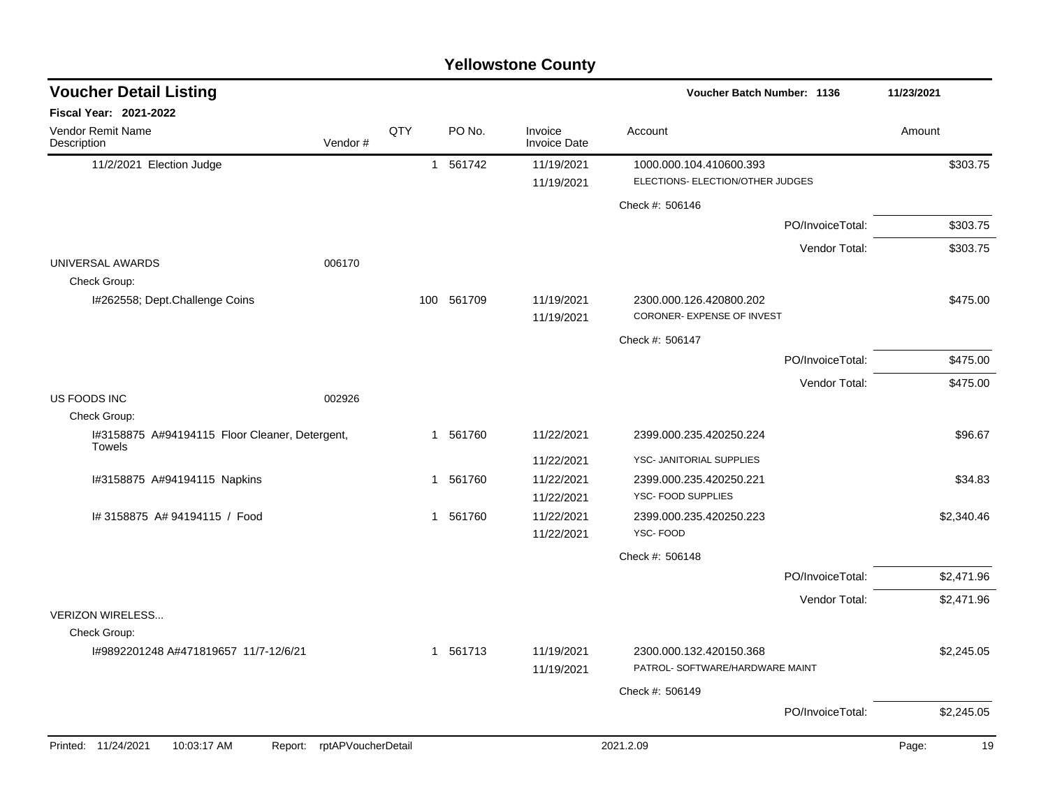| <b>Yellowstone County</b> |  |
|---------------------------|--|
|---------------------------|--|

| <b>Voucher Detail Listing</b>                                   |                               |     |            |                                | Voucher Batch Number: 1136                                 |                  | 11/23/2021  |
|-----------------------------------------------------------------|-------------------------------|-----|------------|--------------------------------|------------------------------------------------------------|------------------|-------------|
| Fiscal Year: 2021-2022                                          |                               |     |            |                                |                                                            |                  |             |
| Vendor Remit Name<br>Description                                | Vendor#                       | QTY | PO No.     | Invoice<br><b>Invoice Date</b> | Account                                                    |                  | Amount      |
| 11/2/2021 Election Judge                                        |                               |     | 1 561742   | 11/19/2021                     | 1000.000.104.410600.393                                    |                  | \$303.75    |
|                                                                 |                               |     |            | 11/19/2021                     | ELECTIONS- ELECTION/OTHER JUDGES                           |                  |             |
|                                                                 |                               |     |            |                                | Check #: 506146                                            |                  |             |
|                                                                 |                               |     |            |                                |                                                            | PO/InvoiceTotal: | \$303.75    |
|                                                                 |                               |     |            |                                |                                                            | Vendor Total:    | \$303.75    |
| UNIVERSAL AWARDS                                                | 006170                        |     |            |                                |                                                            |                  |             |
| Check Group:                                                    |                               |     |            |                                |                                                            |                  |             |
| I#262558; Dept.Challenge Coins                                  |                               |     | 100 561709 | 11/19/2021<br>11/19/2021       | 2300.000.126.420800.202<br>CORONER- EXPENSE OF INVEST      |                  | \$475.00    |
|                                                                 |                               |     |            |                                | Check #: 506147                                            |                  |             |
|                                                                 |                               |     |            |                                |                                                            | PO/InvoiceTotal: | \$475.00    |
|                                                                 |                               |     |            |                                |                                                            | Vendor Total:    | \$475.00    |
| US FOODS INC                                                    | 002926                        |     |            |                                |                                                            |                  |             |
| Check Group:                                                    |                               |     |            |                                |                                                            |                  |             |
| I#3158875 A#94194115 Floor Cleaner, Detergent,<br><b>Towels</b> |                               |     | 1 561760   | 11/22/2021                     | 2399.000.235.420250.224                                    |                  | \$96.67     |
|                                                                 |                               |     |            | 11/22/2021                     | YSC- JANITORIAL SUPPLIES                                   |                  |             |
| I#3158875 A#94194115 Napkins                                    |                               |     | 1 561760   | 11/22/2021                     | 2399.000.235.420250.221                                    |                  | \$34.83     |
|                                                                 |                               |     |            | 11/22/2021                     | YSC- FOOD SUPPLIES                                         |                  |             |
| # 3158875 A# 94194115 / Food                                    |                               |     | 1 561760   | 11/22/2021                     | 2399.000.235.420250.223                                    |                  | \$2,340.46  |
|                                                                 |                               |     |            | 11/22/2021                     | YSC-FOOD                                                   |                  |             |
|                                                                 |                               |     |            |                                | Check #: 506148                                            |                  |             |
|                                                                 |                               |     |            |                                |                                                            | PO/InvoiceTotal: | \$2,471.96  |
|                                                                 |                               |     |            |                                |                                                            | Vendor Total:    | \$2,471.96  |
| <b>VERIZON WIRELESS</b>                                         |                               |     |            |                                |                                                            |                  |             |
| Check Group:                                                    |                               |     |            |                                |                                                            |                  |             |
| I#9892201248 A#471819657 11/7-12/6/21                           |                               |     | 1 561713   | 11/19/2021<br>11/19/2021       | 2300.000.132.420150.368<br>PATROL- SOFTWARE/HARDWARE MAINT |                  | \$2,245.05  |
|                                                                 |                               |     |            |                                | Check #: 506149                                            |                  |             |
|                                                                 |                               |     |            |                                |                                                            | PO/InvoiceTotal: | \$2,245.05  |
|                                                                 |                               |     |            |                                |                                                            |                  |             |
| Printed: 11/24/2021<br>10:03:17 AM                              | rptAPVoucherDetail<br>Report: |     |            |                                | 2021.2.09                                                  |                  | Page:<br>19 |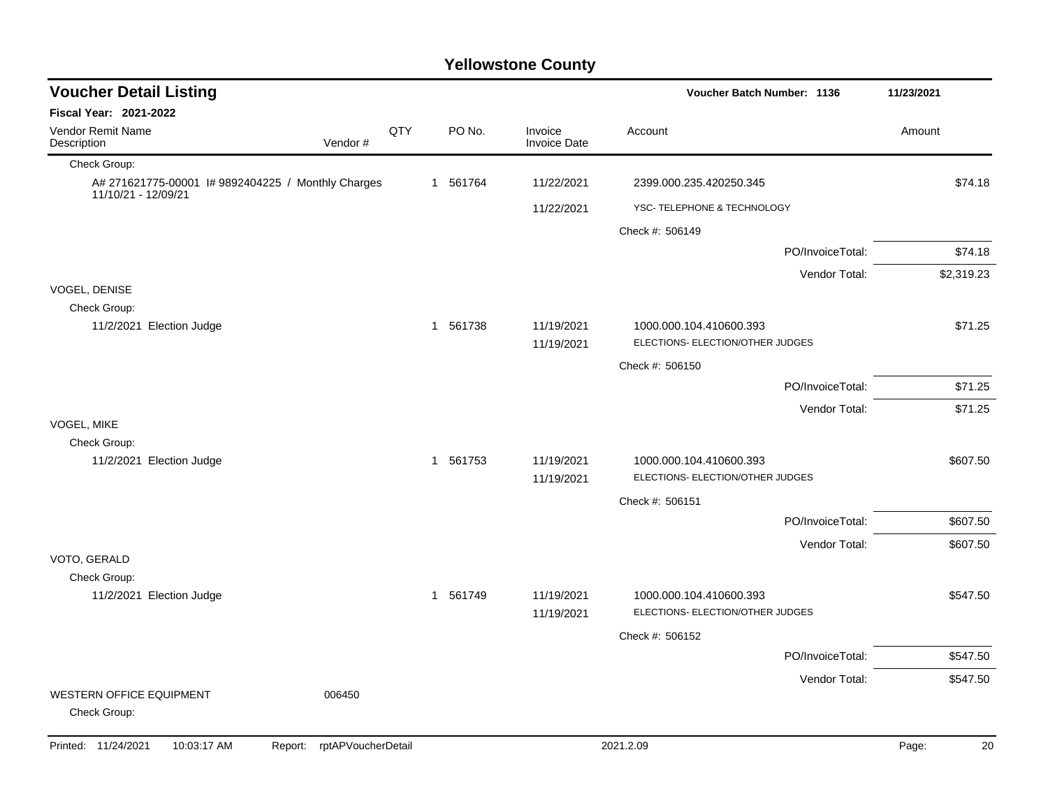| <b>Voucher Detail Listing</b>                                            |                               |     |          |                                | Voucher Batch Number: 1136                                  | 11/23/2021       |             |
|--------------------------------------------------------------------------|-------------------------------|-----|----------|--------------------------------|-------------------------------------------------------------|------------------|-------------|
| <b>Fiscal Year: 2021-2022</b>                                            |                               |     |          |                                |                                                             |                  |             |
| <b>Vendor Remit Name</b><br>Description                                  | Vendor#                       | QTY | PO No.   | Invoice<br><b>Invoice Date</b> | Account                                                     |                  | Amount      |
| Check Group:                                                             |                               |     |          |                                |                                                             |                  |             |
| A# 271621775-00001 # 9892404225 / Monthly Charges<br>11/10/21 - 12/09/21 |                               |     | 1 561764 | 11/22/2021                     | 2399.000.235.420250.345                                     |                  | \$74.18     |
|                                                                          |                               |     |          | 11/22/2021                     | YSC- TELEPHONE & TECHNOLOGY                                 |                  |             |
|                                                                          |                               |     |          |                                | Check #: 506149                                             |                  |             |
|                                                                          |                               |     |          |                                |                                                             | PO/InvoiceTotal: | \$74.18     |
|                                                                          |                               |     |          |                                |                                                             | Vendor Total:    | \$2,319.23  |
| VOGEL, DENISE                                                            |                               |     |          |                                |                                                             |                  |             |
| Check Group:<br>11/2/2021 Election Judge                                 |                               |     | 1 561738 | 11/19/2021                     | 1000.000.104.410600.393                                     |                  | \$71.25     |
|                                                                          |                               |     |          | 11/19/2021                     | ELECTIONS- ELECTION/OTHER JUDGES                            |                  |             |
|                                                                          |                               |     |          |                                | Check #: 506150                                             |                  |             |
|                                                                          |                               |     |          |                                |                                                             | PO/InvoiceTotal: | \$71.25     |
|                                                                          |                               |     |          |                                |                                                             | Vendor Total:    | \$71.25     |
| VOGEL, MIKE                                                              |                               |     |          |                                |                                                             |                  |             |
| Check Group:                                                             |                               |     |          |                                |                                                             |                  |             |
| 11/2/2021 Election Judge                                                 |                               |     | 1 561753 | 11/19/2021<br>11/19/2021       | 1000.000.104.410600.393<br>ELECTIONS- ELECTION/OTHER JUDGES |                  | \$607.50    |
|                                                                          |                               |     |          |                                |                                                             |                  |             |
|                                                                          |                               |     |          |                                | Check #: 506151                                             | PO/InvoiceTotal: | \$607.50    |
|                                                                          |                               |     |          |                                |                                                             |                  |             |
| VOTO, GERALD                                                             |                               |     |          |                                |                                                             | Vendor Total:    | \$607.50    |
| Check Group:                                                             |                               |     |          |                                |                                                             |                  |             |
| 11/2/2021 Election Judge                                                 |                               |     | 1 561749 | 11/19/2021<br>11/19/2021       | 1000.000.104.410600.393<br>ELECTIONS- ELECTION/OTHER JUDGES |                  | \$547.50    |
|                                                                          |                               |     |          |                                | Check #: 506152                                             |                  |             |
|                                                                          |                               |     |          |                                |                                                             | PO/InvoiceTotal: | \$547.50    |
|                                                                          |                               |     |          |                                |                                                             | Vendor Total:    | \$547.50    |
| <b>WESTERN OFFICE EQUIPMENT</b><br>Check Group:                          | 006450                        |     |          |                                |                                                             |                  |             |
| Printed: 11/24/2021<br>10:03:17 AM                                       | rptAPVoucherDetail<br>Report: |     |          |                                | 2021.2.09                                                   |                  | Page:<br>20 |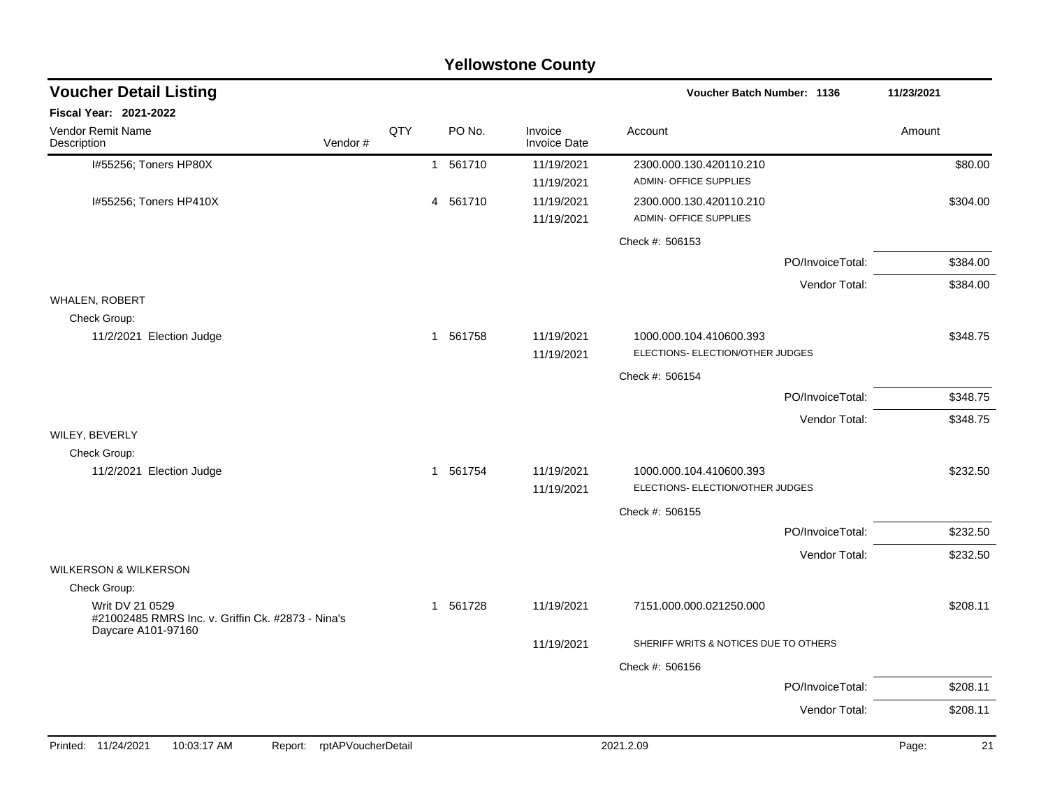| <b>Yellowstone County</b>                                                                  |     |          |                                |                                                             |             |  |  |  |  |
|--------------------------------------------------------------------------------------------|-----|----------|--------------------------------|-------------------------------------------------------------|-------------|--|--|--|--|
| <b>Voucher Detail Listing</b>                                                              |     |          |                                | <b>Voucher Batch Number: 1136</b>                           | 11/23/2021  |  |  |  |  |
| Fiscal Year: 2021-2022                                                                     |     |          |                                |                                                             |             |  |  |  |  |
| Vendor Remit Name<br>Description<br>Vendor#                                                | QTY | PO No.   | Invoice<br><b>Invoice Date</b> | Account                                                     | Amount      |  |  |  |  |
| I#55256; Toners HP80X                                                                      |     | 1 561710 | 11/19/2021<br>11/19/2021       | 2300.000.130.420110.210<br>ADMIN- OFFICE SUPPLIES           | \$80.00     |  |  |  |  |
| I#55256; Toners HP410X                                                                     |     | 4 561710 | 11/19/2021<br>11/19/2021       | 2300.000.130.420110.210<br>ADMIN- OFFICE SUPPLIES           | \$304.00    |  |  |  |  |
|                                                                                            |     |          |                                | Check #: 506153                                             |             |  |  |  |  |
|                                                                                            |     |          |                                | PO/InvoiceTotal:                                            | \$384.00    |  |  |  |  |
|                                                                                            |     |          |                                | Vendor Total:                                               | \$384.00    |  |  |  |  |
| <b>WHALEN, ROBERT</b><br>Check Group:                                                      |     |          |                                |                                                             |             |  |  |  |  |
| 11/2/2021 Election Judge                                                                   |     | 1 561758 | 11/19/2021                     | 1000.000.104.410600.393                                     | \$348.75    |  |  |  |  |
|                                                                                            |     |          | 11/19/2021                     | ELECTIONS- ELECTION/OTHER JUDGES                            |             |  |  |  |  |
|                                                                                            |     |          |                                | Check #: 506154                                             |             |  |  |  |  |
|                                                                                            |     |          |                                | PO/InvoiceTotal:                                            | \$348.75    |  |  |  |  |
| WILEY, BEVERLY                                                                             |     |          |                                | Vendor Total:                                               | \$348.75    |  |  |  |  |
| Check Group:                                                                               |     |          |                                |                                                             |             |  |  |  |  |
| 11/2/2021 Election Judge                                                                   |     | 1 561754 | 11/19/2021<br>11/19/2021       | 1000.000.104.410600.393<br>ELECTIONS- ELECTION/OTHER JUDGES | \$232.50    |  |  |  |  |
|                                                                                            |     |          |                                | Check #: 506155                                             |             |  |  |  |  |
|                                                                                            |     |          |                                | PO/InvoiceTotal:                                            | \$232.50    |  |  |  |  |
| <b>WILKERSON &amp; WILKERSON</b>                                                           |     |          |                                | Vendor Total:                                               | \$232.50    |  |  |  |  |
| Check Group:                                                                               |     |          |                                |                                                             |             |  |  |  |  |
| Writ DV 21 0529<br>#21002485 RMRS Inc. v. Griffin Ck. #2873 - Nina's<br>Daycare A101-97160 | -1  | 561728   | 11/19/2021                     | 7151.000.000.021250.000                                     | \$208.11    |  |  |  |  |
|                                                                                            |     |          | 11/19/2021                     | SHERIFF WRITS & NOTICES DUE TO OTHERS                       |             |  |  |  |  |
|                                                                                            |     |          |                                | Check #: 506156                                             |             |  |  |  |  |
|                                                                                            |     |          |                                | PO/InvoiceTotal:                                            | \$208.11    |  |  |  |  |
|                                                                                            |     |          |                                | Vendor Total:                                               | \$208.11    |  |  |  |  |
| Report: rptAPVoucherDetail<br>Printed: 11/24/2021<br>10:03:17 AM                           |     |          |                                | 2021.2.09                                                   | Page:<br>21 |  |  |  |  |